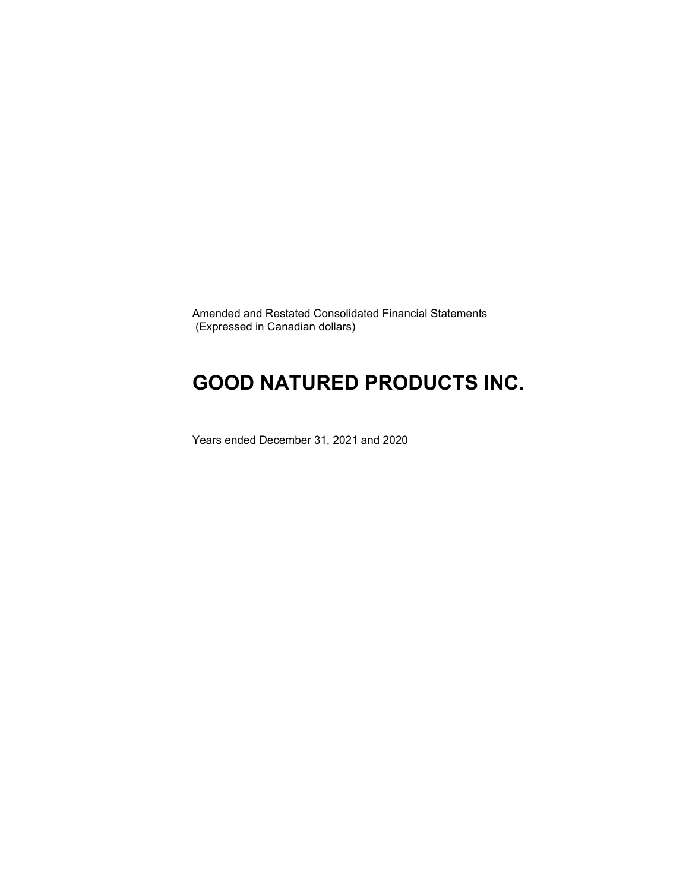Amended and Restated Consolidated Financial Statements (Expressed in Canadian dollars)

### **GOOD NATURED PRODUCTS INC.**

Years ended December 31, 2021 and 2020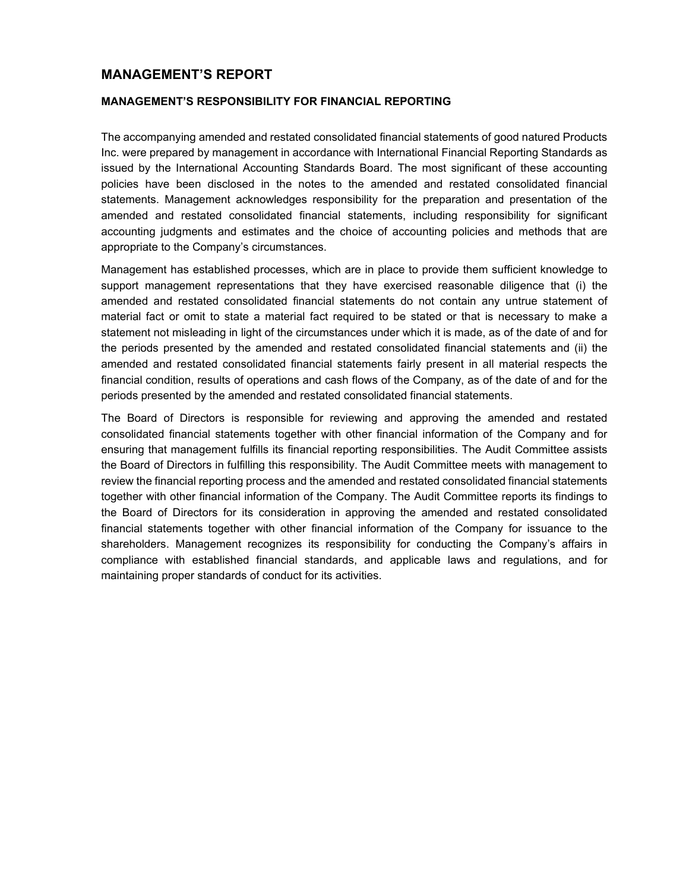#### **MANAGEMENT'S REPORT**

#### **MANAGEMENT'S RESPONSIBILITY FOR FINANCIAL REPORTING**

The accompanying amended and restated consolidated financial statements of good natured Products Inc. were prepared by management in accordance with International Financial Reporting Standards as issued by the International Accounting Standards Board. The most significant of these accounting policies have been disclosed in the notes to the amended and restated consolidated financial statements. Management acknowledges responsibility for the preparation and presentation of the amended and restated consolidated financial statements, including responsibility for significant accounting judgments and estimates and the choice of accounting policies and methods that are appropriate to the Company's circumstances.

Management has established processes, which are in place to provide them sufficient knowledge to support management representations that they have exercised reasonable diligence that (i) the amended and restated consolidated financial statements do not contain any untrue statement of material fact or omit to state a material fact required to be stated or that is necessary to make a statement not misleading in light of the circumstances under which it is made, as of the date of and for the periods presented by the amended and restated consolidated financial statements and (ii) the amended and restated consolidated financial statements fairly present in all material respects the financial condition, results of operations and cash flows of the Company, as of the date of and for the periods presented by the amended and restated consolidated financial statements.

The Board of Directors is responsible for reviewing and approving the amended and restated consolidated financial statements together with other financial information of the Company and for ensuring that management fulfills its financial reporting responsibilities. The Audit Committee assists the Board of Directors in fulfilling this responsibility. The Audit Committee meets with management to review the financial reporting process and the amended and restated consolidated financial statements together with other financial information of the Company. The Audit Committee reports its findings to the Board of Directors for its consideration in approving the amended and restated consolidated financial statements together with other financial information of the Company for issuance to the shareholders. Management recognizes its responsibility for conducting the Company's affairs in compliance with established financial standards, and applicable laws and regulations, and for maintaining proper standards of conduct for its activities.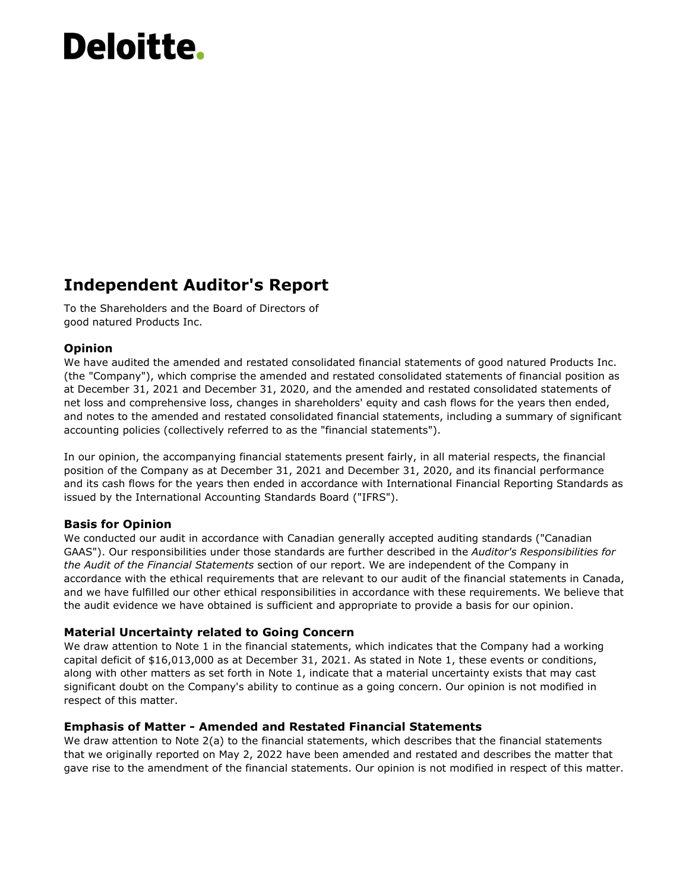# Deloitte.

### **Independent Auditor's Report**

To the Shareholders and the Board of Directors of good natured Products Inc.

#### **Opinion**

We have audited the amended and restated consolidated financial statements of good natured Products Inc. (the "Company"), which comprise the amended and restated consolidated statements of financial position as at December 31, 2021 and December 31, 2020, and the amended and restated consolidated statements of net loss and comprehensive loss, changes in shareholders' equity and cash flows for the years then ended, and notes to the amended and restated consolidated financial statements, including a summary of significant accounting policies (collectively referred to as the "financial statements").

In our opinion, the accompanying financial statements present fairly, in all material respects, the financial position of the Company as at December 31, 2021 and December 31, 2020, and its financial performance and its cash flows for the years then ended in accordance with International Financial Reporting Standards as issued by the International Accounting Standards Board ("IFRS").

#### **Basis for Opinion**

We conducted our audit in accordance with Canadian generally accepted auditing standards ("Canadian GAAS"). Our responsibilities under those standards are further described in the *Auditor's Responsibilities for the Audit of the Financial Statements* section of our report. We are independent of the Company in accordance with the ethical requirements that are relevant to our audit of the financial statements in Canada, and we have fulfilled our other ethical responsibilities in accordance with these requirements. We believe that the audit evidence we have obtained is sufficient and appropriate to provide a basis for our opinion.

#### **Material Uncertainty related to Going Concern**

We draw attention to Note 1 in the financial statements, which indicates that the Company had a working capital deficit of \$16,013,000 as at December 31, 2021. As stated in Note 1, these events or conditions, along with other matters as set forth in Note 1, indicate that a material uncertainty exists that may cast significant doubt on the Company's ability to continue as a going concern. Our opinion is not modified in respect of this matter.

#### **Emphasis of Matter - Amended and Restated Financial Statements**

We draw attention to Note 2(a) to the financial statements, which describes that the financial statements that we originally reported on May 2, 2022 have been amended and restated and describes the matter that gave rise to the amendment of the financial statements. Our opinion is not modified in respect of this matter.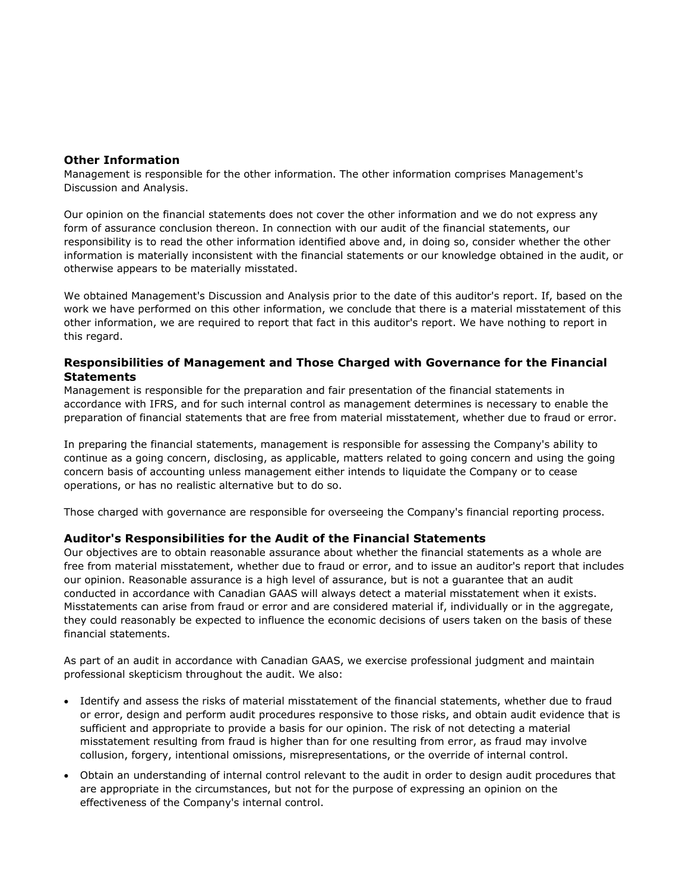#### **Other Information**

Management is responsible for the other information. The other information comprises Management's Discussion and Analysis.

Our opinion on the financial statements does not cover the other information and we do not express any form of assurance conclusion thereon. In connection with our audit of the financial statements, our responsibility is to read the other information identified above and, in doing so, consider whether the other information is materially inconsistent with the financial statements or our knowledge obtained in the audit, or otherwise appears to be materially misstated.

We obtained Management's Discussion and Analysis prior to the date of this auditor's report. If, based on the work we have performed on this other information, we conclude that there is a material misstatement of this other information, we are required to report that fact in this auditor's report. We have nothing to report in this regard.

#### **Responsibilities of Management and Those Charged with Governance for the Financial Statements**

Management is responsible for the preparation and fair presentation of the financial statements in accordance with IFRS, and for such internal control as management determines is necessary to enable the preparation of financial statements that are free from material misstatement, whether due to fraud or error.

In preparing the financial statements, management is responsible for assessing the Company's ability to continue as a going concern, disclosing, as applicable, matters related to going concern and using the going concern basis of accounting unless management either intends to liquidate the Company or to cease operations, or has no realistic alternative but to do so.

Those charged with governance are responsible for overseeing the Company's financial reporting process.

#### **Auditor's Responsibilities for the Audit of the Financial Statements**

Our objectives are to obtain reasonable assurance about whether the financial statements as a whole are free from material misstatement, whether due to fraud or error, and to issue an auditor's report that includes our opinion. Reasonable assurance is a high level of assurance, but is not a guarantee that an audit conducted in accordance with Canadian GAAS will always detect a material misstatement when it exists. Misstatements can arise from fraud or error and are considered material if, individually or in the aggregate, they could reasonably be expected to influence the economic decisions of users taken on the basis of these financial statements.

As part of an audit in accordance with Canadian GAAS, we exercise professional judgment and maintain professional skepticism throughout the audit. We also:

- Identify and assess the risks of material misstatement of the financial statements, whether due to fraud or error, design and perform audit procedures responsive to those risks, and obtain audit evidence that is sufficient and appropriate to provide a basis for our opinion. The risk of not detecting a material misstatement resulting from fraud is higher than for one resulting from error, as fraud may involve collusion, forgery, intentional omissions, misrepresentations, or the override of internal control.
- Obtain an understanding of internal control relevant to the audit in order to design audit procedures that are appropriate in the circumstances, but not for the purpose of expressing an opinion on the effectiveness of the Company's internal control.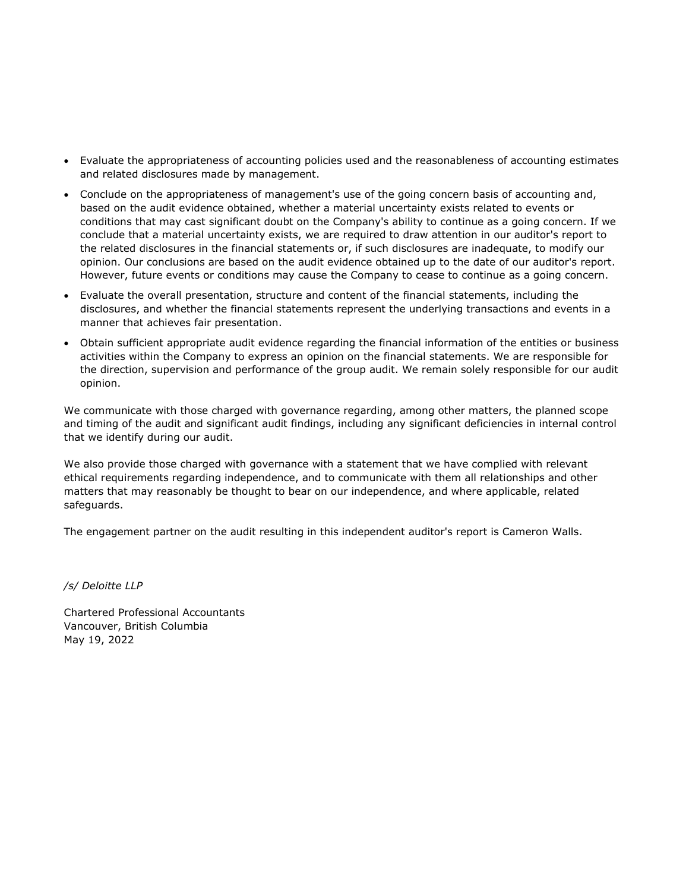- Evaluate the appropriateness of accounting policies used and the reasonableness of accounting estimates and related disclosures made by management.
- Conclude on the appropriateness of management's use of the going concern basis of accounting and, based on the audit evidence obtained, whether a material uncertainty exists related to events or conditions that may cast significant doubt on the Company's ability to continue as a going concern. If we conclude that a material uncertainty exists, we are required to draw attention in our auditor's report to the related disclosures in the financial statements or, if such disclosures are inadequate, to modify our opinion. Our conclusions are based on the audit evidence obtained up to the date of our auditor's report. However, future events or conditions may cause the Company to cease to continue as a going concern.
- Evaluate the overall presentation, structure and content of the financial statements, including the disclosures, and whether the financial statements represent the underlying transactions and events in a manner that achieves fair presentation.
- Obtain sufficient appropriate audit evidence regarding the financial information of the entities or business activities within the Company to express an opinion on the financial statements. We are responsible for the direction, supervision and performance of the group audit. We remain solely responsible for our audit opinion.

We communicate with those charged with governance regarding, among other matters, the planned scope and timing of the audit and significant audit findings, including any significant deficiencies in internal control that we identify during our audit.

We also provide those charged with governance with a statement that we have complied with relevant ethical requirements regarding independence, and to communicate with them all relationships and other matters that may reasonably be thought to bear on our independence, and where applicable, related safeguards.

The engagement partner on the audit resulting in this independent auditor's report is Cameron Walls.

*/s/ Deloitte LLP*

Chartered Professional Accountants Vancouver, British Columbia May 19, 2022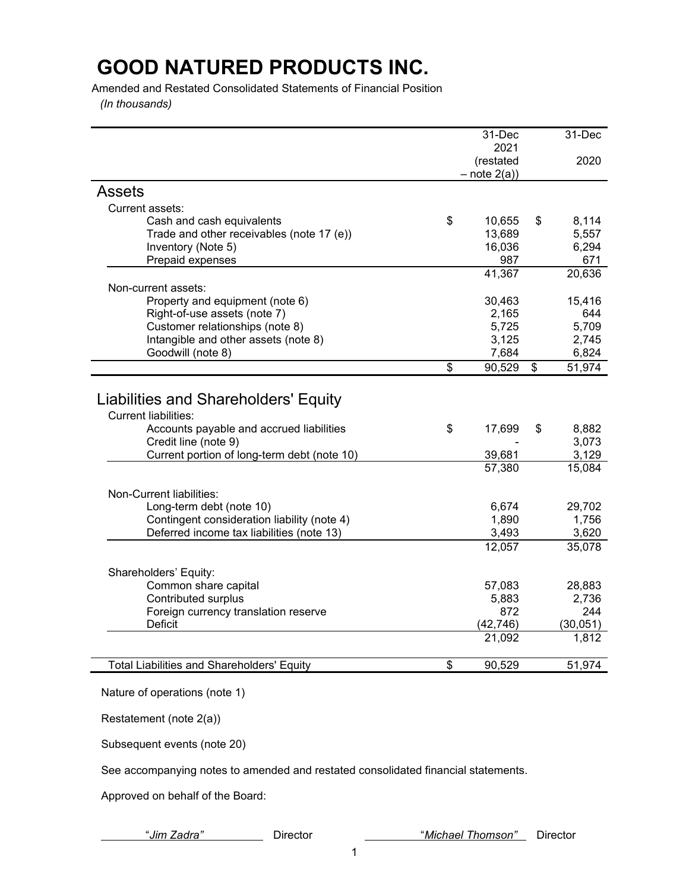Amended and Restated Consolidated Statements of Financial Position *(In thousands)* 

| 2021<br>(restated<br>$-$ note $2(a)$ )<br><b>Assets</b><br>Current assets:                                 | 2020<br>8,114<br>5,557<br>6,294<br>671 |
|------------------------------------------------------------------------------------------------------------|----------------------------------------|
|                                                                                                            |                                        |
|                                                                                                            |                                        |
|                                                                                                            |                                        |
|                                                                                                            |                                        |
|                                                                                                            |                                        |
| \$<br>Cash and cash equivalents<br>10,655<br>\$                                                            |                                        |
| 13,689<br>Trade and other receivables (note 17 (e))                                                        |                                        |
| 16,036<br>Inventory (Note 5)                                                                               |                                        |
| Prepaid expenses<br>987                                                                                    |                                        |
| 41,367                                                                                                     | 20,636                                 |
| Non-current assets:                                                                                        |                                        |
| Property and equipment (note 6)<br>30,463                                                                  | 15,416                                 |
| Right-of-use assets (note 7)<br>2,165                                                                      | 644                                    |
| Customer relationships (note 8)<br>5,725                                                                   | 5,709                                  |
| Intangible and other assets (note 8)<br>3,125                                                              | 2,745                                  |
| Goodwill (note 8)<br>7,684                                                                                 | 6,824                                  |
| \$<br>90,529<br>\$                                                                                         | 51,974                                 |
| Liabilities and Shareholders' Equity<br><b>Current liabilities:</b>                                        |                                        |
| Accounts payable and accrued liabilities<br>\$<br>17,699<br>\$                                             | 8,882                                  |
| Credit line (note 9)                                                                                       | 3,073                                  |
| Current portion of long-term debt (note 10)<br>39,681                                                      | 3,129                                  |
| 57,380                                                                                                     | 15,084                                 |
|                                                                                                            |                                        |
| Non-Current liabilities:                                                                                   |                                        |
| Long-term debt (note 10)<br>6,674                                                                          | 29,702                                 |
| Contingent consideration liability (note 4)<br>1,890<br>Deferred income tax liabilities (note 13)<br>3,493 | 1,756<br>3,620                         |
| 12,057                                                                                                     | 35,078                                 |
|                                                                                                            |                                        |
| Shareholders' Equity:                                                                                      |                                        |
| Common share capital<br>57,083                                                                             | 28,883                                 |
| <b>Contributed surplus</b><br>5,883                                                                        | 2,736                                  |
| 872<br>Foreign currency translation reserve                                                                | 244                                    |
| Deficit<br>(42, 746)                                                                                       | (30,051)                               |
| 21,092                                                                                                     | 1,812                                  |
| <b>Total Liabilities and Shareholders' Equity</b><br>\$<br>90,529                                          | 51,974                                 |

Nature of operations (note 1)

Restatement (note 2(a))

Subsequent events (note 20)

See accompanying notes to amended and restated consolidated financial statements.

Approved on behalf of the Board:

"*Jim Zadra"* Director "*Michael Thomson"* Director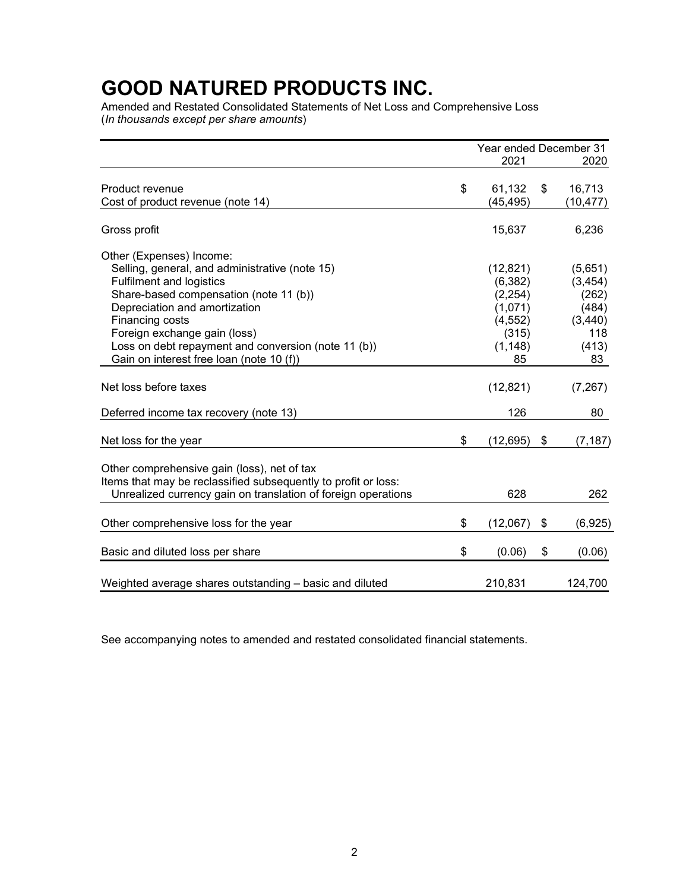Amended and Restated Consolidated Statements of Net Loss and Comprehensive Loss (*In thousands except per share amounts*)

|                                                                                                                                                                                                                                                                                                                                                |    |                                                                                     | Year ended December 31<br>2020                                          |  |  |
|------------------------------------------------------------------------------------------------------------------------------------------------------------------------------------------------------------------------------------------------------------------------------------------------------------------------------------------------|----|-------------------------------------------------------------------------------------|-------------------------------------------------------------------------|--|--|
| Product revenue<br>Cost of product revenue (note 14)                                                                                                                                                                                                                                                                                           | \$ | 61,132<br>(45, 495)                                                                 | \$<br>16,713<br>(10, 477)                                               |  |  |
| Gross profit                                                                                                                                                                                                                                                                                                                                   |    | 15,637                                                                              | 6,236                                                                   |  |  |
| Other (Expenses) Income:<br>Selling, general, and administrative (note 15)<br><b>Fulfilment and logistics</b><br>Share-based compensation (note 11 (b))<br>Depreciation and amortization<br>Financing costs<br>Foreign exchange gain (loss)<br>Loss on debt repayment and conversion (note 11 (b))<br>Gain on interest free loan (note 10 (f)) |    | (12, 821)<br>(6, 382)<br>(2, 254)<br>(1,071)<br>(4, 552)<br>(315)<br>(1, 148)<br>85 | (5,651)<br>(3, 454)<br>(262)<br>(484)<br>(3, 440)<br>118<br>(413)<br>83 |  |  |
| Net loss before taxes                                                                                                                                                                                                                                                                                                                          |    | (12, 821)                                                                           | (7, 267)                                                                |  |  |
| Deferred income tax recovery (note 13)                                                                                                                                                                                                                                                                                                         |    | 126                                                                                 | 80                                                                      |  |  |
| Net loss for the year                                                                                                                                                                                                                                                                                                                          | \$ | (12, 695)                                                                           | \$<br>(7, 187)                                                          |  |  |
| Other comprehensive gain (loss), net of tax<br>Items that may be reclassified subsequently to profit or loss:<br>Unrealized currency gain on translation of foreign operations                                                                                                                                                                 |    | 628                                                                                 | 262                                                                     |  |  |
| Other comprehensive loss for the year                                                                                                                                                                                                                                                                                                          | \$ | (12,067)                                                                            | \$<br>(6,925)                                                           |  |  |
| Basic and diluted loss per share                                                                                                                                                                                                                                                                                                               | \$ | (0.06)                                                                              | \$<br>(0.06)                                                            |  |  |
| Weighted average shares outstanding - basic and diluted                                                                                                                                                                                                                                                                                        |    | 210,831                                                                             | 124,700                                                                 |  |  |

See accompanying notes to amended and restated consolidated financial statements.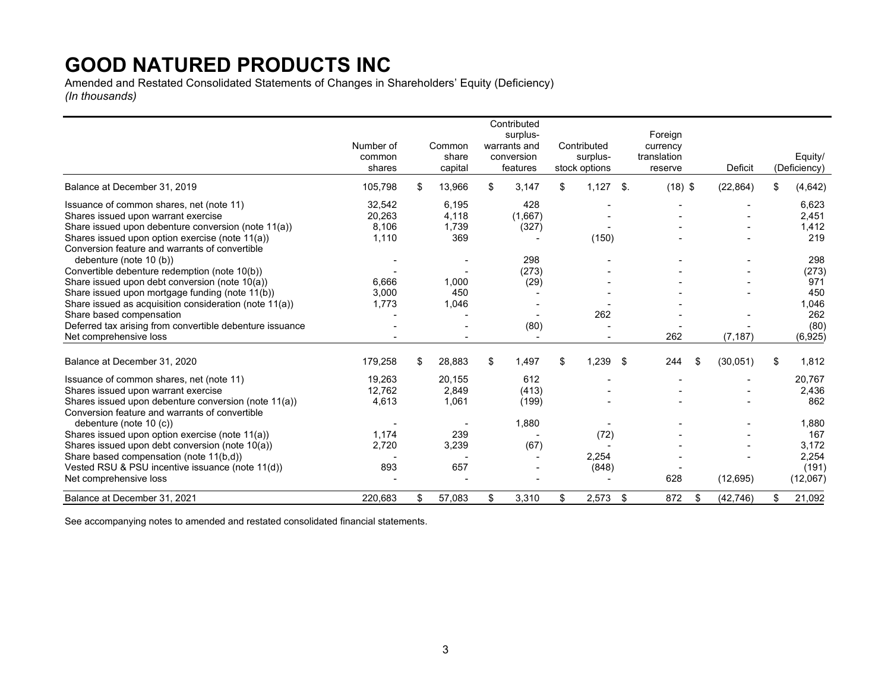Amended and Restated Consolidated Statements of Changes in Shareholders' Equity (Deficiency) *(In thousands)*

|                                                                                                                                                                                           |                                    |                                | Contributed                                        |                                          |                                               |    |                        |                                |
|-------------------------------------------------------------------------------------------------------------------------------------------------------------------------------------------|------------------------------------|--------------------------------|----------------------------------------------------|------------------------------------------|-----------------------------------------------|----|------------------------|--------------------------------|
|                                                                                                                                                                                           | Number of<br>common<br>shares      | Common<br>share<br>capital     | surplus-<br>warrants and<br>conversion<br>features | Contributed<br>surplus-<br>stock options | Foreign<br>currency<br>translation<br>reserve |    | <b>Deficit</b>         | Equity/<br>(Deficiency)        |
| Balance at December 31, 2019                                                                                                                                                              | 105,798                            | \$<br>13,966                   | \$<br>3,147                                        | \$<br>$1,127$ \$.                        | $(18)$ \$                                     |    | (22, 864)              | \$<br>(4,642)                  |
| Issuance of common shares, net (note 11)<br>Shares issued upon warrant exercise<br>Share issued upon debenture conversion (note 11(a))<br>Shares issued upon option exercise (note 11(a)) | 32,542<br>20,263<br>8,106<br>1,110 | 6,195<br>4,118<br>1,739<br>369 | 428<br>(1,667)<br>(327)                            | (150)                                    |                                               |    |                        | 6,623<br>2,451<br>1,412<br>219 |
| Conversion feature and warrants of convertible<br>debenture (note 10 (b))<br>Convertible debenture redemption (note 10(b))<br>Share issued upon debt conversion (note 10(a))              | 6,666                              | 1,000                          | 298<br>(273)<br>(29)                               |                                          |                                               |    |                        | 298<br>(273)<br>971            |
| Share issued upon mortgage funding (note 11(b))<br>Share issued as acquisition consideration (note 11(a))<br>Share based compensation                                                     | 3,000<br>1,773                     | 450<br>1,046                   | $\overline{a}$                                     | 262                                      |                                               |    |                        | 450<br>1,046<br>262            |
| Deferred tax arising from convertible debenture issuance<br>Net comprehensive loss                                                                                                        |                                    |                                | (80)                                               |                                          | 262                                           |    | (7.187)                | (80)<br>(6, 925)               |
| Balance at December 31, 2020                                                                                                                                                              | 179,258                            | \$<br>28,883                   | \$<br>1,497                                        | \$<br>1.239                              | \$<br>244                                     | -S | (30,051)               | \$<br>1,812                    |
| Issuance of common shares, net (note 11)<br>Shares issued upon warrant exercise<br>Shares issued upon debenture conversion (note 11(a))<br>Conversion feature and warrants of convertible | 19,263<br>12,762<br>4,613          | 20,155<br>2,849<br>1,061       | 612<br>(413)<br>(199)                              |                                          |                                               |    |                        | 20.767<br>2,436<br>862         |
| debenture (note 10 (c))<br>Shares issued upon option exercise (note 11(a))                                                                                                                | 1.174                              | 239                            | 1,880                                              | (72)                                     |                                               |    |                        | 1,880<br>167                   |
| Shares issued upon debt conversion (note 10(a))<br>Share based compensation (note 11(b,d))<br>Vested RSU & PSU incentive issuance (note 11(d))                                            | 2,720<br>893                       | 3,239<br>657                   | (67)                                               | 2.254<br>(848)                           |                                               |    |                        | 3,172<br>2,254<br>(191)        |
| Net comprehensive loss<br>Balance at December 31, 2021                                                                                                                                    | 220,683                            | \$<br>57,083                   | \$<br>3,310                                        | \$<br>2,573                              | \$<br>628<br>872                              | \$ | (12, 695)<br>(42, 746) | \$<br>(12,067)<br>21,092       |

See accompanying notes to amended and restated consolidated financial statements.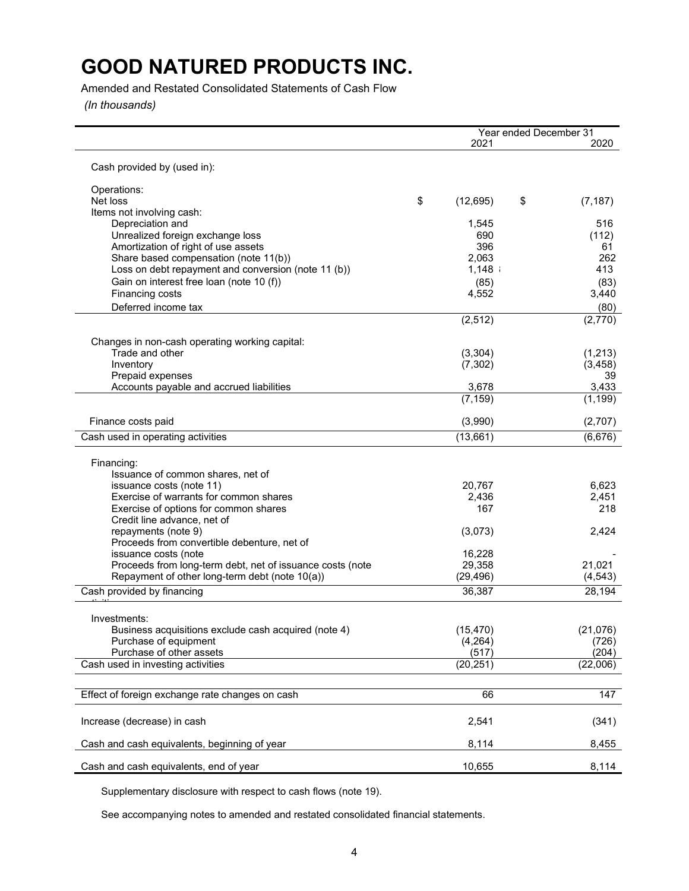Amended and Restated Consolidated Statements of Cash Flow

*(In thousands)*

|                                                                                                             | Year ended December 31 |                  |    |          |
|-------------------------------------------------------------------------------------------------------------|------------------------|------------------|----|----------|
|                                                                                                             |                        | 2021             |    | 2020     |
| Cash provided by (used in):                                                                                 |                        |                  |    |          |
|                                                                                                             |                        |                  |    |          |
| Operations:                                                                                                 |                        |                  |    |          |
| Net loss<br>Items not involving cash:                                                                       | \$                     | (12, 695)        | \$ | (7, 187) |
| Depreciation and                                                                                            |                        | 1,545            |    | 516      |
| Unrealized foreign exchange loss                                                                            |                        | 690              |    | (112)    |
| Amortization of right of use assets                                                                         |                        | 396              |    | 61       |
| Share based compensation (note 11(b))                                                                       |                        | 2,063            |    | 262      |
| Loss on debt repayment and conversion (note 11 (b))                                                         |                        | 1,148            |    | 413      |
| Gain on interest free loan (note 10 (f))                                                                    |                        | (85)             |    | (83)     |
| Financing costs                                                                                             |                        | 4,552            |    | 3,440    |
| Deferred income tax                                                                                         |                        |                  |    | (80)     |
|                                                                                                             |                        | (2, 512)         |    | (2,770)  |
|                                                                                                             |                        |                  |    |          |
| Changes in non-cash operating working capital:                                                              |                        |                  |    |          |
| Trade and other                                                                                             |                        | (3, 304)         |    | (1,213)  |
| Inventory                                                                                                   |                        | (7, 302)         |    | (3, 458) |
| Prepaid expenses                                                                                            |                        |                  |    | 39       |
| Accounts payable and accrued liabilities                                                                    |                        | 3,678            |    | 3,433    |
|                                                                                                             |                        | (7, 159)         |    | (1, 199) |
| Finance costs paid                                                                                          |                        | (3,990)          |    | (2,707)  |
| Cash used in operating activities                                                                           |                        | (13,661)         |    | (6,676)  |
|                                                                                                             |                        |                  |    |          |
| Financing:                                                                                                  |                        |                  |    |          |
| Issuance of common shares, net of                                                                           |                        |                  |    |          |
| issuance costs (note 11)                                                                                    |                        | 20,767           |    | 6,623    |
| Exercise of warrants for common shares                                                                      |                        | 2,436            |    | 2,451    |
| Exercise of options for common shares                                                                       |                        | 167              |    | 218      |
| Credit line advance, net of                                                                                 |                        |                  |    |          |
| repayments (note 9)                                                                                         |                        | (3,073)          |    | 2,424    |
| Proceeds from convertible debenture, net of                                                                 |                        |                  |    |          |
| issuance costs (note                                                                                        |                        | 16,228<br>29,358 |    | 21,021   |
| Proceeds from long-term debt, net of issuance costs (note<br>Repayment of other long-term debt (note 10(a)) |                        | (29, 496)        |    | (4, 543) |
|                                                                                                             |                        |                  |    |          |
| Cash provided by financing                                                                                  |                        | 36,387           |    | 28,194   |
| Investments:                                                                                                |                        |                  |    |          |
| Business acquisitions exclude cash acquired (note 4)                                                        |                        | (15, 470)        |    | (21,076) |
| Purchase of equipment                                                                                       |                        | (4, 264)         |    | (726)    |
| Purchase of other assets                                                                                    |                        | (517)            |    | (204)    |
| Cash used in investing activities                                                                           |                        | (20, 251)        |    | (22,006) |
|                                                                                                             |                        |                  |    |          |
| Effect of foreign exchange rate changes on cash                                                             |                        | 66               |    | 147      |
|                                                                                                             |                        |                  |    |          |
| Increase (decrease) in cash                                                                                 |                        | 2,541            |    | (341)    |
|                                                                                                             |                        |                  |    |          |
| Cash and cash equivalents, beginning of year                                                                |                        | 8,114            |    | 8,455    |
| Cash and cash equivalents, end of year                                                                      |                        | 10,655           |    | 8,114    |

Supplementary disclosure with respect to cash flows (note 19).

See accompanying notes to amended and restated consolidated financial statements.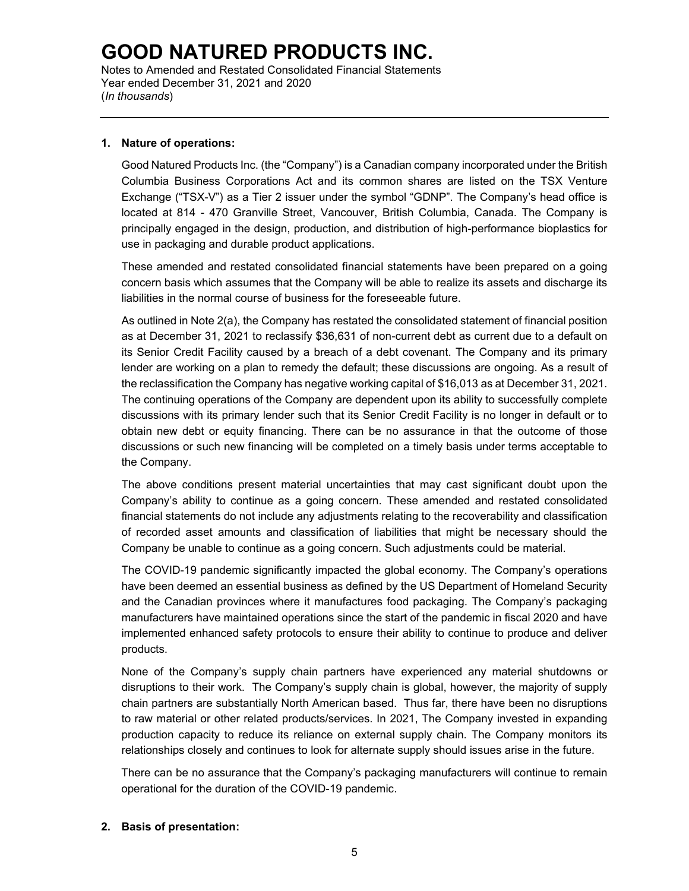Notes to Amended and Restated Consolidated Financial Statements Year ended December 31, 2021 and 2020 (*In thousands*)

#### **1. Nature of operations:**

Good Natured Products Inc. (the "Company") is a Canadian company incorporated under the British Columbia Business Corporations Act and its common shares are listed on the TSX Venture Exchange ("TSX-V") as a Tier 2 issuer under the symbol "GDNP". The Company's head office is located at 814 - 470 Granville Street, Vancouver, British Columbia, Canada. The Company is principally engaged in the design, production, and distribution of high-performance bioplastics for use in packaging and durable product applications.

These amended and restated consolidated financial statements have been prepared on a going concern basis which assumes that the Company will be able to realize its assets and discharge its liabilities in the normal course of business for the foreseeable future.

As outlined in Note 2(a), the Company has restated the consolidated statement of financial position as at December 31, 2021 to reclassify \$36,631 of non-current debt as current due to a default on its Senior Credit Facility caused by a breach of a debt covenant. The Company and its primary lender are working on a plan to remedy the default; these discussions are ongoing. As a result of the reclassification the Company has negative working capital of \$16,013 as at December 31, 2021. The continuing operations of the Company are dependent upon its ability to successfully complete discussions with its primary lender such that its Senior Credit Facility is no longer in default or to obtain new debt or equity financing. There can be no assurance in that the outcome of those discussions or such new financing will be completed on a timely basis under terms acceptable to the Company.

The above conditions present material uncertainties that may cast significant doubt upon the Company's ability to continue as a going concern. These amended and restated consolidated financial statements do not include any adjustments relating to the recoverability and classification of recorded asset amounts and classification of liabilities that might be necessary should the Company be unable to continue as a going concern. Such adjustments could be material.

The COVID-19 pandemic significantly impacted the global economy. The Company's operations have been deemed an essential business as defined by the US Department of Homeland Security and the Canadian provinces where it manufactures food packaging. The Company's packaging manufacturers have maintained operations since the start of the pandemic in fiscal 2020 and have implemented enhanced safety protocols to ensure their ability to continue to produce and deliver products.

None of the Company's supply chain partners have experienced any material shutdowns or disruptions to their work. The Company's supply chain is global, however, the majority of supply chain partners are substantially North American based. Thus far, there have been no disruptions to raw material or other related products/services. In 2021, The Company invested in expanding production capacity to reduce its reliance on external supply chain. The Company monitors its relationships closely and continues to look for alternate supply should issues arise in the future.

There can be no assurance that the Company's packaging manufacturers will continue to remain operational for the duration of the COVID-19 pandemic.

#### **2. Basis of presentation:**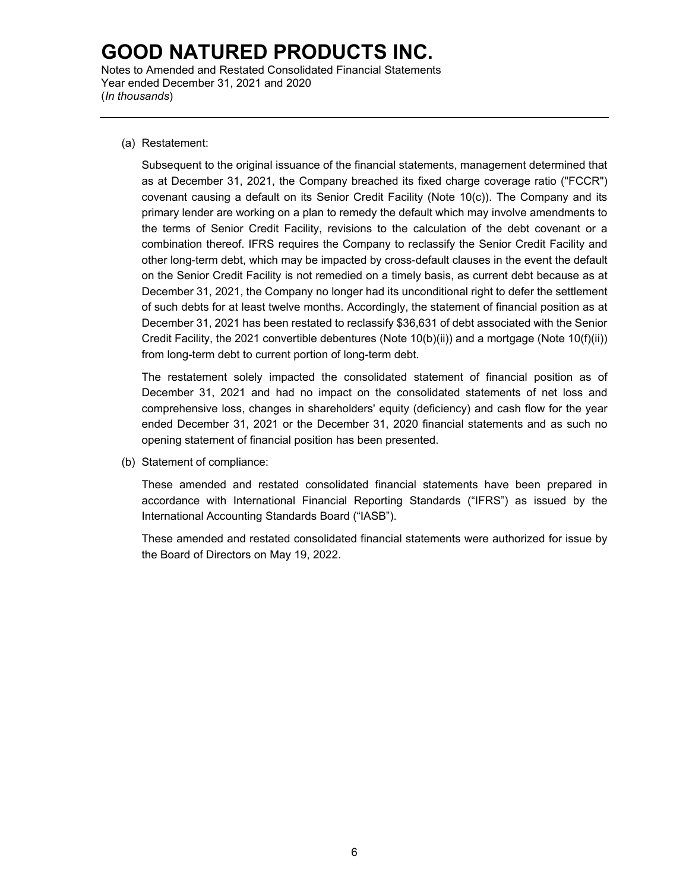Notes to Amended and Restated Consolidated Financial Statements Year ended December 31, 2021 and 2020 (*In thousands*)

#### (a) Restatement:

Subsequent to the original issuance of the financial statements, management determined that as at December 31, 2021, the Company breached its fixed charge coverage ratio ("FCCR") covenant causing a default on its Senior Credit Facility (Note 10(c)). The Company and its primary lender are working on a plan to remedy the default which may involve amendments to the terms of Senior Credit Facility, revisions to the calculation of the debt covenant or a combination thereof. IFRS requires the Company to reclassify the Senior Credit Facility and other long-term debt, which may be impacted by cross-default clauses in the event the default on the Senior Credit Facility is not remedied on a timely basis, as current debt because as at December 31, 2021, the Company no longer had its unconditional right to defer the settlement of such debts for at least twelve months. Accordingly, the statement of financial position as at December 31, 2021 has been restated to reclassify \$36,631 of debt associated with the Senior Credit Facility, the 2021 convertible debentures (Note 10(b)(ii)) and a mortgage (Note 10(f)(ii)) from long-term debt to current portion of long-term debt.

The restatement solely impacted the consolidated statement of financial position as of December 31, 2021 and had no impact on the consolidated statements of net loss and comprehensive loss, changes in shareholders' equity (deficiency) and cash flow for the year ended December 31, 2021 or the December 31, 2020 financial statements and as such no opening statement of financial position has been presented.

(b) Statement of compliance:

These amended and restated consolidated financial statements have been prepared in accordance with International Financial Reporting Standards ("IFRS") as issued by the International Accounting Standards Board ("IASB").

These amended and restated consolidated financial statements were authorized for issue by the Board of Directors on May 19, 2022.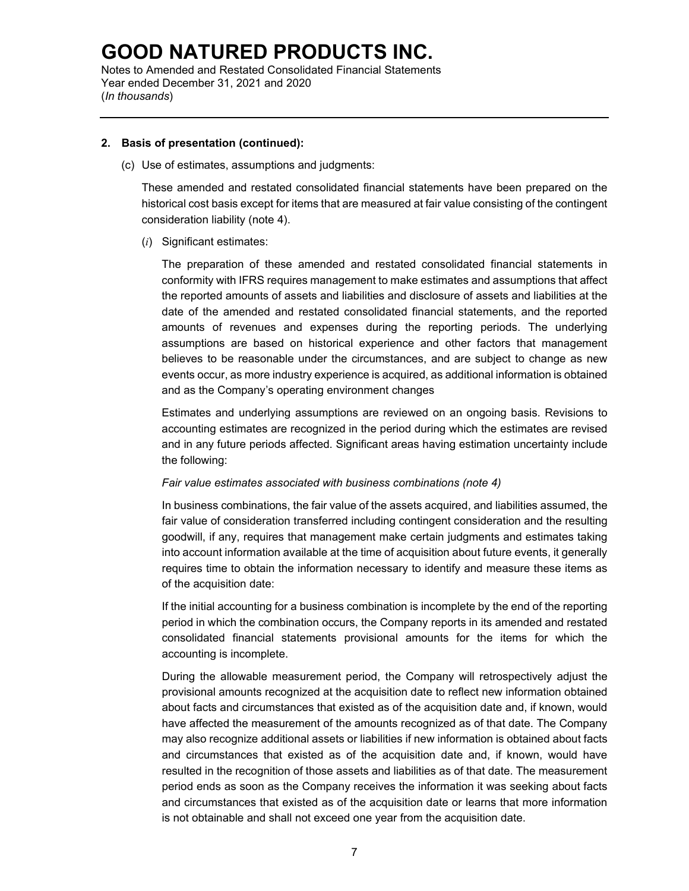#### **2. Basis of presentation (continued):**

(c) Use of estimates, assumptions and judgments:

These amended and restated consolidated financial statements have been prepared on the historical cost basis except for items that are measured at fair value consisting of the contingent consideration liability (note 4).

(*i*) Significant estimates:

The preparation of these amended and restated consolidated financial statements in conformity with IFRS requires management to make estimates and assumptions that affect the reported amounts of assets and liabilities and disclosure of assets and liabilities at the date of the amended and restated consolidated financial statements, and the reported amounts of revenues and expenses during the reporting periods. The underlying assumptions are based on historical experience and other factors that management believes to be reasonable under the circumstances, and are subject to change as new events occur, as more industry experience is acquired, as additional information is obtained and as the Company's operating environment changes

Estimates and underlying assumptions are reviewed on an ongoing basis. Revisions to accounting estimates are recognized in the period during which the estimates are revised and in any future periods affected. Significant areas having estimation uncertainty include the following:

#### *Fair value estimates associated with business combinations (note 4)*

In business combinations, the fair value of the assets acquired, and liabilities assumed, the fair value of consideration transferred including contingent consideration and the resulting goodwill, if any, requires that management make certain judgments and estimates taking into account information available at the time of acquisition about future events, it generally requires time to obtain the information necessary to identify and measure these items as of the acquisition date:

If the initial accounting for a business combination is incomplete by the end of the reporting period in which the combination occurs, the Company reports in its amended and restated consolidated financial statements provisional amounts for the items for which the accounting is incomplete.

During the allowable measurement period, the Company will retrospectively adjust the provisional amounts recognized at the acquisition date to reflect new information obtained about facts and circumstances that existed as of the acquisition date and, if known, would have affected the measurement of the amounts recognized as of that date. The Company may also recognize additional assets or liabilities if new information is obtained about facts and circumstances that existed as of the acquisition date and, if known, would have resulted in the recognition of those assets and liabilities as of that date. The measurement period ends as soon as the Company receives the information it was seeking about facts and circumstances that existed as of the acquisition date or learns that more information is not obtainable and shall not exceed one year from the acquisition date.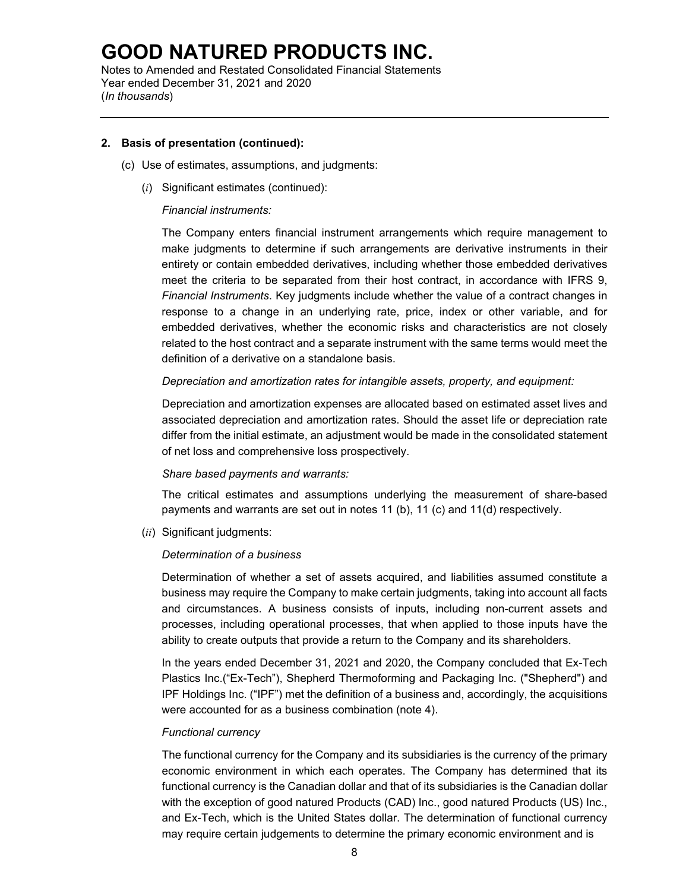Notes to Amended and Restated Consolidated Financial Statements Year ended December 31, 2021 and 2020 (*In thousands*)

#### **2. Basis of presentation (continued):**

- (c) Use of estimates, assumptions, and judgments:
	- (*i*) Significant estimates (continued):

#### *Financial instruments:*

The Company enters financial instrument arrangements which require management to make judgments to determine if such arrangements are derivative instruments in their entirety or contain embedded derivatives, including whether those embedded derivatives meet the criteria to be separated from their host contract, in accordance with IFRS 9, *Financial Instruments*. Key judgments include whether the value of a contract changes in response to a change in an underlying rate, price, index or other variable, and for embedded derivatives, whether the economic risks and characteristics are not closely related to the host contract and a separate instrument with the same terms would meet the definition of a derivative on a standalone basis.

#### *Depreciation and amortization rates for intangible assets, property, and equipment:*

Depreciation and amortization expenses are allocated based on estimated asset lives and associated depreciation and amortization rates. Should the asset life or depreciation rate differ from the initial estimate, an adjustment would be made in the consolidated statement of net loss and comprehensive loss prospectively.

#### *Share based payments and warrants:*

The critical estimates and assumptions underlying the measurement of share-based payments and warrants are set out in notes 11 (b), 11 (c) and 11(d) respectively.

(*ii*) Significant judgments:

#### *Determination of a business*

Determination of whether a set of assets acquired, and liabilities assumed constitute a business may require the Company to make certain judgments, taking into account all facts and circumstances. A business consists of inputs, including non-current assets and processes, including operational processes, that when applied to those inputs have the ability to create outputs that provide a return to the Company and its shareholders.

In the years ended December 31, 2021 and 2020, the Company concluded that Ex-Tech Plastics Inc.("Ex-Tech"), Shepherd Thermoforming and Packaging Inc. ("Shepherd") and IPF Holdings Inc. ("IPF") met the definition of a business and, accordingly, the acquisitions were accounted for as a business combination (note 4).

#### *Functional currency*

The functional currency for the Company and its subsidiaries is the currency of the primary economic environment in which each operates. The Company has determined that its functional currency is the Canadian dollar and that of its subsidiaries is the Canadian dollar with the exception of good natured Products (CAD) Inc., good natured Products (US) Inc., and Ex-Tech, which is the United States dollar. The determination of functional currency may require certain judgements to determine the primary economic environment and is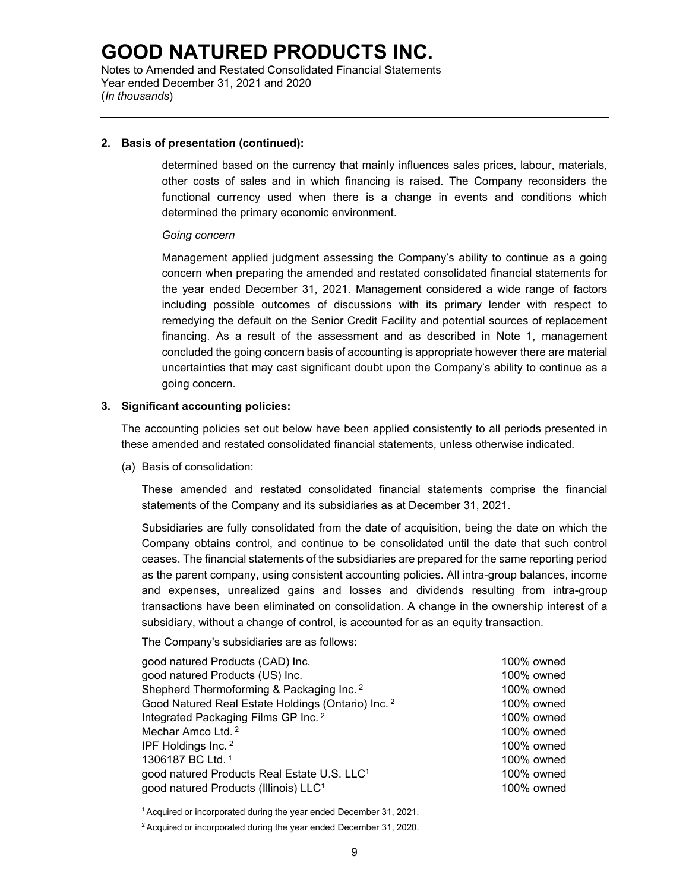Year ended December 31, 2021 and 2020 (*In thousands*)

#### **2. Basis of presentation (continued):**

determined based on the currency that mainly influences sales prices, labour, materials, other costs of sales and in which financing is raised. The Company reconsiders the functional currency used when there is a change in events and conditions which determined the primary economic environment.

#### *Going concern*

Management applied judgment assessing the Company's ability to continue as a going concern when preparing the amended and restated consolidated financial statements for the year ended December 31, 2021. Management considered a wide range of factors including possible outcomes of discussions with its primary lender with respect to remedying the default on the Senior Credit Facility and potential sources of replacement financing. As a result of the assessment and as described in Note 1, management concluded the going concern basis of accounting is appropriate however there are material uncertainties that may cast significant doubt upon the Company's ability to continue as a going concern.

#### **3. Significant accounting policies:**

The accounting policies set out below have been applied consistently to all periods presented in these amended and restated consolidated financial statements, unless otherwise indicated.

(a) Basis of consolidation:

These amended and restated consolidated financial statements comprise the financial statements of the Company and its subsidiaries as at December 31, 2021.

Subsidiaries are fully consolidated from the date of acquisition, being the date on which the Company obtains control, and continue to be consolidated until the date that such control ceases. The financial statements of the subsidiaries are prepared for the same reporting period as the parent company, using consistent accounting policies. All intra-group balances, income and expenses, unrealized gains and losses and dividends resulting from intra-group transactions have been eliminated on consolidation. A change in the ownership interest of a subsidiary, without a change of control, is accounted for as an equity transaction.

The Company's subsidiaries are as follows:

| good natured Products (CAD) Inc.                        | 100% owned |
|---------------------------------------------------------|------------|
| good natured Products (US) Inc.                         | 100% owned |
| Shepherd Thermoforming & Packaging Inc. 2               | 100% owned |
| Good Natured Real Estate Holdings (Ontario) Inc. 2      | 100% owned |
| Integrated Packaging Films GP Inc. 2                    | 100% owned |
| Mechar Amco Ltd. <sup>2</sup>                           | 100% owned |
| IPF Holdings Inc. 2                                     | 100% owned |
| 1306187 BC Ltd. 1                                       | 100% owned |
| good natured Products Real Estate U.S. LLC <sup>1</sup> | 100% owned |
| good natured Products (Illinois) LLC <sup>1</sup>       | 100% owned |
|                                                         |            |

1 Acquired or incorporated during the year ended December 31, 2021.

<sup>2</sup> Acquired or incorporated during the year ended December 31, 2020.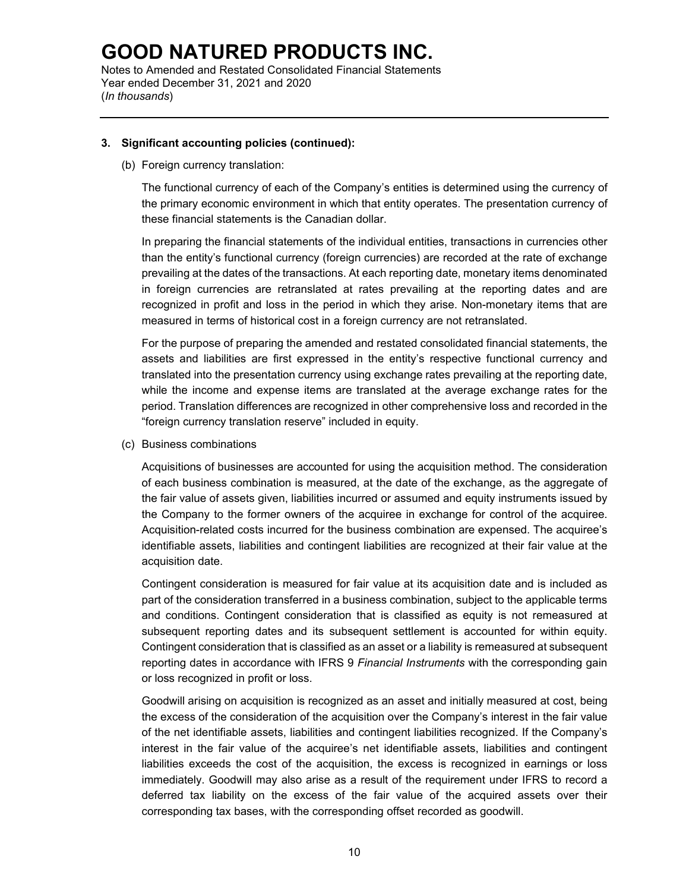Notes to Amended and Restated Consolidated Financial Statements Year ended December 31, 2021 and 2020 (*In thousands*)

#### **3. Significant accounting policies (continued):**

(b) Foreign currency translation:

The functional currency of each of the Company's entities is determined using the currency of the primary economic environment in which that entity operates. The presentation currency of these financial statements is the Canadian dollar.

In preparing the financial statements of the individual entities, transactions in currencies other than the entity's functional currency (foreign currencies) are recorded at the rate of exchange prevailing at the dates of the transactions. At each reporting date, monetary items denominated in foreign currencies are retranslated at rates prevailing at the reporting dates and are recognized in profit and loss in the period in which they arise. Non-monetary items that are measured in terms of historical cost in a foreign currency are not retranslated.

For the purpose of preparing the amended and restated consolidated financial statements, the assets and liabilities are first expressed in the entity's respective functional currency and translated into the presentation currency using exchange rates prevailing at the reporting date, while the income and expense items are translated at the average exchange rates for the period. Translation differences are recognized in other comprehensive loss and recorded in the "foreign currency translation reserve" included in equity.

(c) Business combinations

Acquisitions of businesses are accounted for using the acquisition method. The consideration of each business combination is measured, at the date of the exchange, as the aggregate of the fair value of assets given, liabilities incurred or assumed and equity instruments issued by the Company to the former owners of the acquiree in exchange for control of the acquiree. Acquisition-related costs incurred for the business combination are expensed. The acquiree's identifiable assets, liabilities and contingent liabilities are recognized at their fair value at the acquisition date.

Contingent consideration is measured for fair value at its acquisition date and is included as part of the consideration transferred in a business combination, subject to the applicable terms and conditions. Contingent consideration that is classified as equity is not remeasured at subsequent reporting dates and its subsequent settlement is accounted for within equity. Contingent consideration that is classified as an asset or a liability is remeasured at subsequent reporting dates in accordance with IFRS 9 *Financial Instruments* with the corresponding gain or loss recognized in profit or loss.

Goodwill arising on acquisition is recognized as an asset and initially measured at cost, being the excess of the consideration of the acquisition over the Company's interest in the fair value of the net identifiable assets, liabilities and contingent liabilities recognized. If the Company's interest in the fair value of the acquiree's net identifiable assets, liabilities and contingent liabilities exceeds the cost of the acquisition, the excess is recognized in earnings or loss immediately. Goodwill may also arise as a result of the requirement under IFRS to record a deferred tax liability on the excess of the fair value of the acquired assets over their corresponding tax bases, with the corresponding offset recorded as goodwill.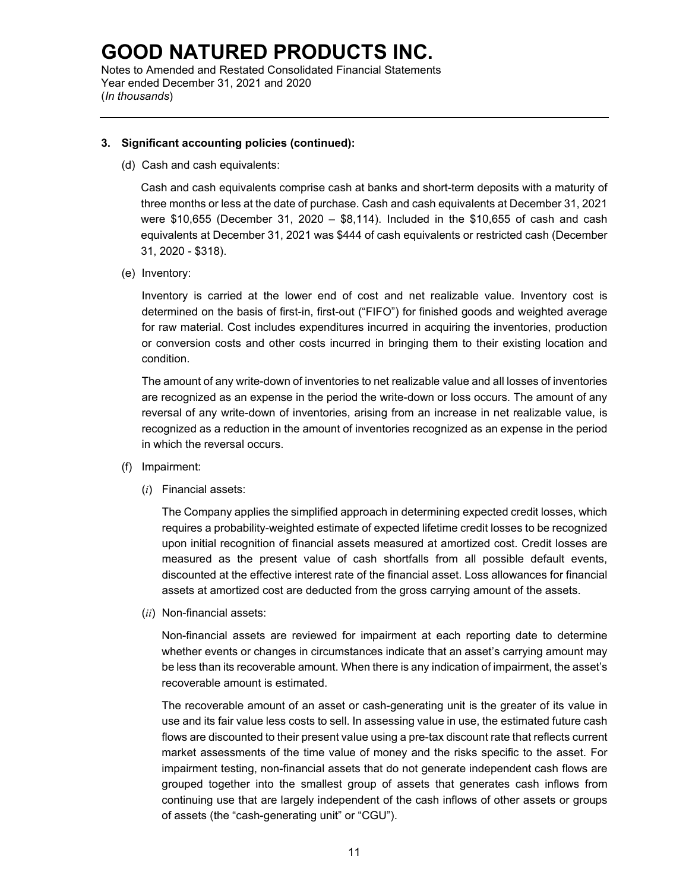Notes to Amended and Restated Consolidated Financial Statements Year ended December 31, 2021 and 2020 (*In thousands*)

#### **3. Significant accounting policies (continued):**

(d) Cash and cash equivalents:

Cash and cash equivalents comprise cash at banks and short-term deposits with a maturity of three months or less at the date of purchase. Cash and cash equivalents at December 31, 2021 were \$10,655 (December 31, 2020 – \$8,114). Included in the \$10,655 of cash and cash equivalents at December 31, 2021 was \$444 of cash equivalents or restricted cash (December 31, 2020 - \$318).

(e) Inventory:

Inventory is carried at the lower end of cost and net realizable value. Inventory cost is determined on the basis of first-in, first-out ("FIFO") for finished goods and weighted average for raw material. Cost includes expenditures incurred in acquiring the inventories, production or conversion costs and other costs incurred in bringing them to their existing location and condition.

The amount of any write-down of inventories to net realizable value and all losses of inventories are recognized as an expense in the period the write-down or loss occurs. The amount of any reversal of any write-down of inventories, arising from an increase in net realizable value, is recognized as a reduction in the amount of inventories recognized as an expense in the period in which the reversal occurs.

- (f) Impairment:
	- (*i*) Financial assets:

The Company applies the simplified approach in determining expected credit losses, which requires a probability-weighted estimate of expected lifetime credit losses to be recognized upon initial recognition of financial assets measured at amortized cost. Credit losses are measured as the present value of cash shortfalls from all possible default events, discounted at the effective interest rate of the financial asset. Loss allowances for financial assets at amortized cost are deducted from the gross carrying amount of the assets.

(*ii*) Non-financial assets:

Non-financial assets are reviewed for impairment at each reporting date to determine whether events or changes in circumstances indicate that an asset's carrying amount may be less than its recoverable amount. When there is any indication of impairment, the asset's recoverable amount is estimated.

The recoverable amount of an asset or cash-generating unit is the greater of its value in use and its fair value less costs to sell. In assessing value in use, the estimated future cash flows are discounted to their present value using a pre-tax discount rate that reflects current market assessments of the time value of money and the risks specific to the asset. For impairment testing, non-financial assets that do not generate independent cash flows are grouped together into the smallest group of assets that generates cash inflows from continuing use that are largely independent of the cash inflows of other assets or groups of assets (the "cash-generating unit" or "CGU").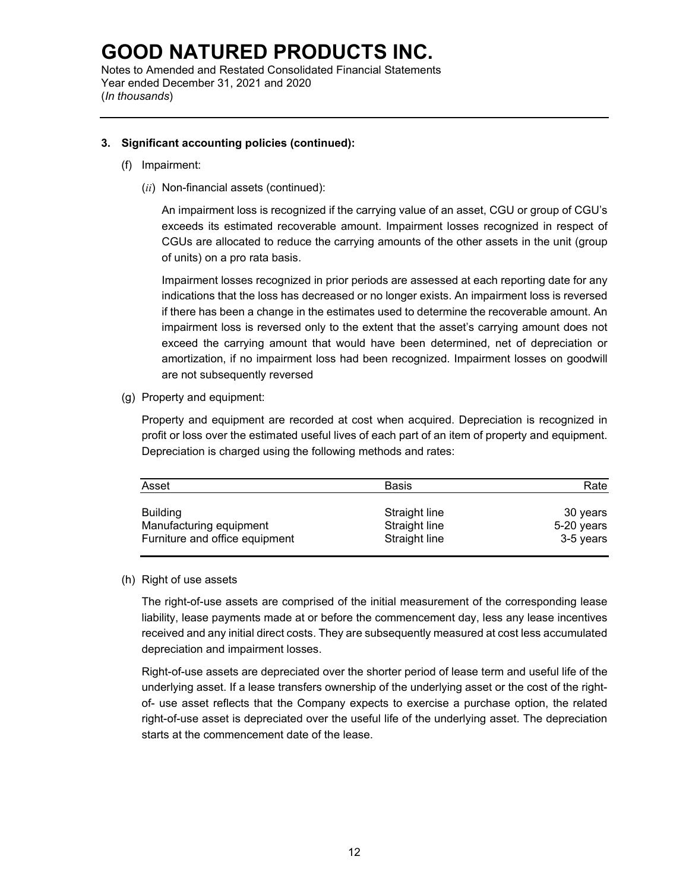Notes to Amended and Restated Consolidated Financial Statements Year ended December 31, 2021 and 2020 (*In thousands*)

#### **3. Significant accounting policies (continued):**

- (f) Impairment:
	- (*ii*) Non-financial assets (continued):

An impairment loss is recognized if the carrying value of an asset, CGU or group of CGU's exceeds its estimated recoverable amount. Impairment losses recognized in respect of CGUs are allocated to reduce the carrying amounts of the other assets in the unit (group of units) on a pro rata basis.

Impairment losses recognized in prior periods are assessed at each reporting date for any indications that the loss has decreased or no longer exists. An impairment loss is reversed if there has been a change in the estimates used to determine the recoverable amount. An impairment loss is reversed only to the extent that the asset's carrying amount does not exceed the carrying amount that would have been determined, net of depreciation or amortization, if no impairment loss had been recognized. Impairment losses on goodwill are not subsequently reversed

(g) Property and equipment:

Property and equipment are recorded at cost when acquired. Depreciation is recognized in profit or loss over the estimated useful lives of each part of an item of property and equipment. Depreciation is charged using the following methods and rates:

| Asset<br><b>Basis</b>          |               | Rate         |
|--------------------------------|---------------|--------------|
| <b>Building</b>                | Straight line | 30 years     |
| Manufacturing equipment        | Straight line | $5-20$ years |
| Furniture and office equipment | Straight line | 3-5 years    |

#### (h) Right of use assets

The right-of-use assets are comprised of the initial measurement of the corresponding lease liability, lease payments made at or before the commencement day, less any lease incentives received and any initial direct costs. They are subsequently measured at cost less accumulated depreciation and impairment losses.

Right-of-use assets are depreciated over the shorter period of lease term and useful life of the underlying asset. If a lease transfers ownership of the underlying asset or the cost of the rightof- use asset reflects that the Company expects to exercise a purchase option, the related right-of-use asset is depreciated over the useful life of the underlying asset. The depreciation starts at the commencement date of the lease.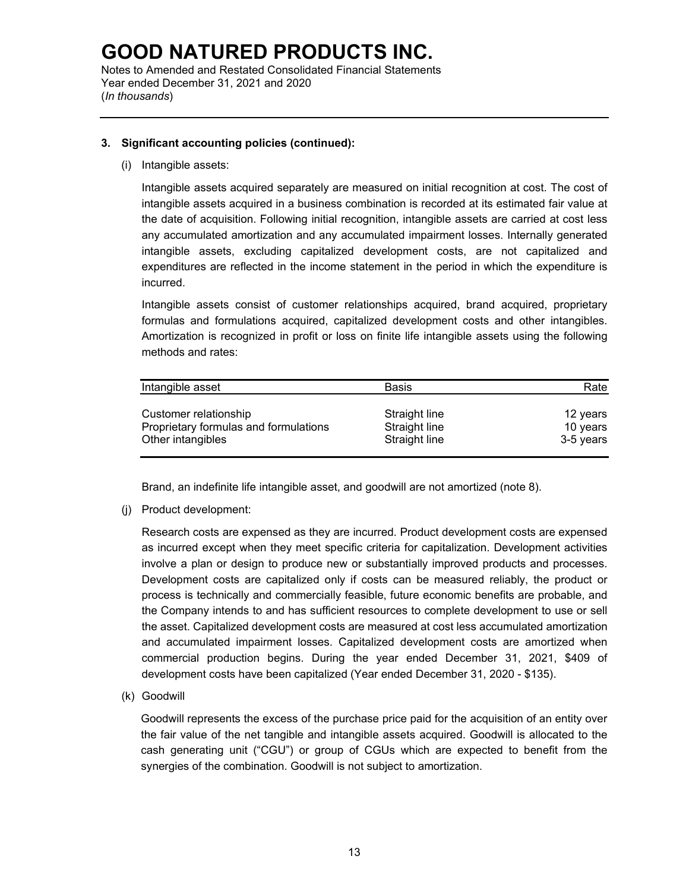Notes to Amended and Restated Consolidated Financial Statements Year ended December 31, 2021 and 2020 (*In thousands*)

#### **3. Significant accounting policies (continued):**

(i) Intangible assets:

Intangible assets acquired separately are measured on initial recognition at cost. The cost of intangible assets acquired in a business combination is recorded at its estimated fair value at the date of acquisition. Following initial recognition, intangible assets are carried at cost less any accumulated amortization and any accumulated impairment losses. Internally generated intangible assets, excluding capitalized development costs, are not capitalized and expenditures are reflected in the income statement in the period in which the expenditure is incurred.

Intangible assets consist of customer relationships acquired, brand acquired, proprietary formulas and formulations acquired, capitalized development costs and other intangibles. Amortization is recognized in profit or loss on finite life intangible assets using the following methods and rates:

| Intangible asset                      | <b>Basis</b>  | Rate      |
|---------------------------------------|---------------|-----------|
| Customer relationship                 | Straight line | 12 years  |
| Proprietary formulas and formulations | Straight line | 10 years  |
| Other intangibles                     | Straight line | 3-5 years |

Brand, an indefinite life intangible asset, and goodwill are not amortized (note 8).

(j) Product development:

Research costs are expensed as they are incurred. Product development costs are expensed as incurred except when they meet specific criteria for capitalization. Development activities involve a plan or design to produce new or substantially improved products and processes. Development costs are capitalized only if costs can be measured reliably, the product or process is technically and commercially feasible, future economic benefits are probable, and the Company intends to and has sufficient resources to complete development to use or sell the asset. Capitalized development costs are measured at cost less accumulated amortization and accumulated impairment losses. Capitalized development costs are amortized when commercial production begins. During the year ended December 31, 2021, \$409 of development costs have been capitalized (Year ended December 31, 2020 - \$135).

(k) Goodwill

Goodwill represents the excess of the purchase price paid for the acquisition of an entity over the fair value of the net tangible and intangible assets acquired. Goodwill is allocated to the cash generating unit ("CGU") or group of CGUs which are expected to benefit from the synergies of the combination. Goodwill is not subject to amortization.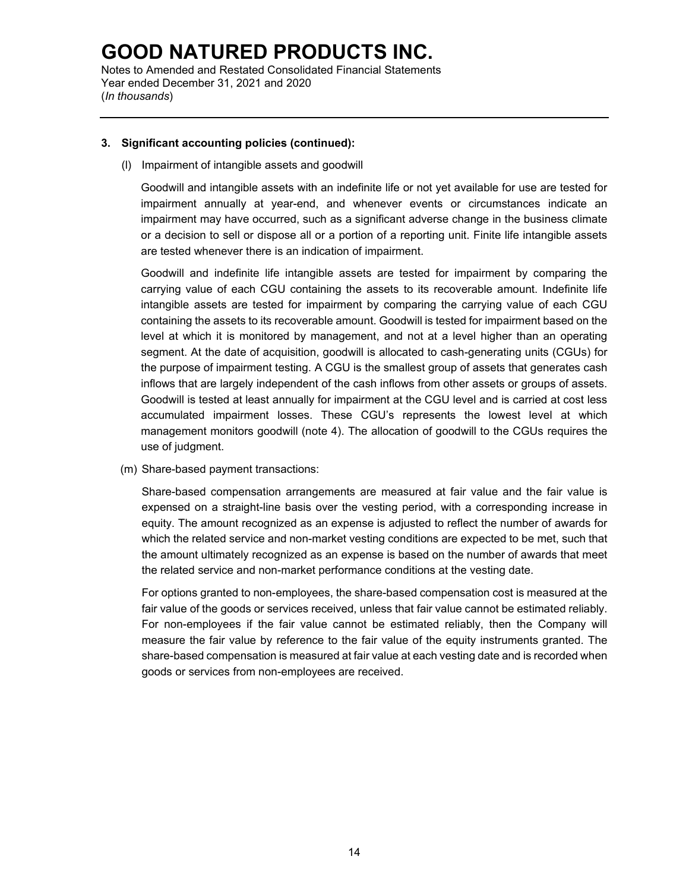Notes to Amended and Restated Consolidated Financial Statements Year ended December 31, 2021 and 2020 (*In thousands*)

#### **3. Significant accounting policies (continued):**

(l) Impairment of intangible assets and goodwill

Goodwill and intangible assets with an indefinite life or not yet available for use are tested for impairment annually at year-end, and whenever events or circumstances indicate an impairment may have occurred, such as a significant adverse change in the business climate or a decision to sell or dispose all or a portion of a reporting unit. Finite life intangible assets are tested whenever there is an indication of impairment.

Goodwill and indefinite life intangible assets are tested for impairment by comparing the carrying value of each CGU containing the assets to its recoverable amount. Indefinite life intangible assets are tested for impairment by comparing the carrying value of each CGU containing the assets to its recoverable amount. Goodwill is tested for impairment based on the level at which it is monitored by management, and not at a level higher than an operating segment. At the date of acquisition, goodwill is allocated to cash-generating units (CGUs) for the purpose of impairment testing. A CGU is the smallest group of assets that generates cash inflows that are largely independent of the cash inflows from other assets or groups of assets. Goodwill is tested at least annually for impairment at the CGU level and is carried at cost less accumulated impairment losses. These CGU's represents the lowest level at which management monitors goodwill (note 4). The allocation of goodwill to the CGUs requires the use of judgment.

(m) Share-based payment transactions:

Share-based compensation arrangements are measured at fair value and the fair value is expensed on a straight-line basis over the vesting period, with a corresponding increase in equity. The amount recognized as an expense is adjusted to reflect the number of awards for which the related service and non-market vesting conditions are expected to be met, such that the amount ultimately recognized as an expense is based on the number of awards that meet the related service and non-market performance conditions at the vesting date.

For options granted to non-employees, the share-based compensation cost is measured at the fair value of the goods or services received, unless that fair value cannot be estimated reliably. For non-employees if the fair value cannot be estimated reliably, then the Company will measure the fair value by reference to the fair value of the equity instruments granted. The share-based compensation is measured at fair value at each vesting date and is recorded when goods or services from non-employees are received.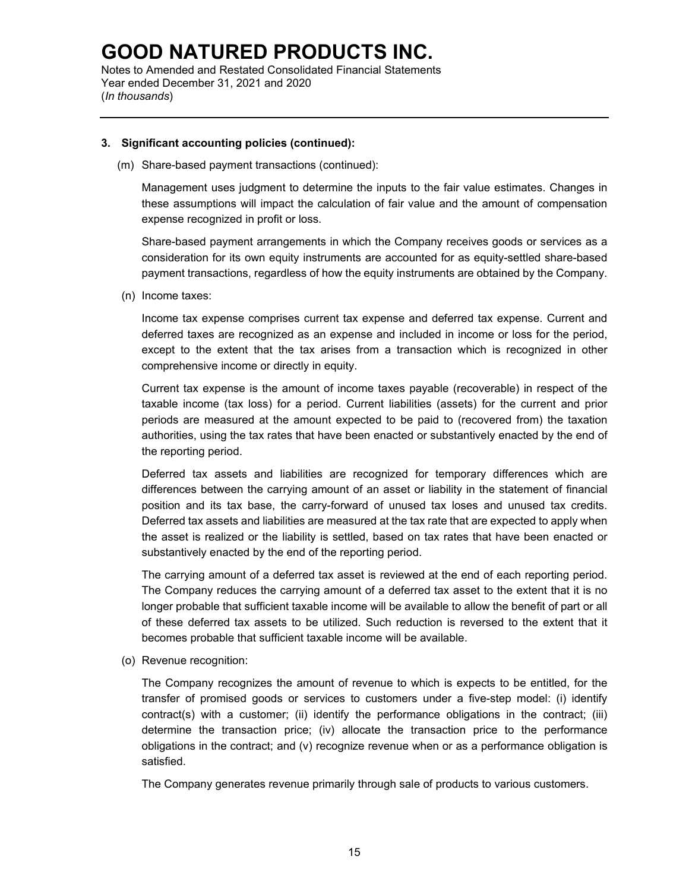Notes to Amended and Restated Consolidated Financial Statements Year ended December 31, 2021 and 2020 (*In thousands*)

#### **3. Significant accounting policies (continued):**

(m) Share-based payment transactions (continued):

Management uses judgment to determine the inputs to the fair value estimates. Changes in these assumptions will impact the calculation of fair value and the amount of compensation expense recognized in profit or loss.

Share-based payment arrangements in which the Company receives goods or services as a consideration for its own equity instruments are accounted for as equity-settled share-based payment transactions, regardless of how the equity instruments are obtained by the Company.

(n) Income taxes:

Income tax expense comprises current tax expense and deferred tax expense. Current and deferred taxes are recognized as an expense and included in income or loss for the period, except to the extent that the tax arises from a transaction which is recognized in other comprehensive income or directly in equity.

Current tax expense is the amount of income taxes payable (recoverable) in respect of the taxable income (tax loss) for a period. Current liabilities (assets) for the current and prior periods are measured at the amount expected to be paid to (recovered from) the taxation authorities, using the tax rates that have been enacted or substantively enacted by the end of the reporting period.

Deferred tax assets and liabilities are recognized for temporary differences which are differences between the carrying amount of an asset or liability in the statement of financial position and its tax base, the carry-forward of unused tax loses and unused tax credits. Deferred tax assets and liabilities are measured at the tax rate that are expected to apply when the asset is realized or the liability is settled, based on tax rates that have been enacted or substantively enacted by the end of the reporting period.

The carrying amount of a deferred tax asset is reviewed at the end of each reporting period. The Company reduces the carrying amount of a deferred tax asset to the extent that it is no longer probable that sufficient taxable income will be available to allow the benefit of part or all of these deferred tax assets to be utilized. Such reduction is reversed to the extent that it becomes probable that sufficient taxable income will be available.

(o) Revenue recognition:

The Company recognizes the amount of revenue to which is expects to be entitled, for the transfer of promised goods or services to customers under a five-step model: (i) identify contract(s) with a customer; (ii) identify the performance obligations in the contract; (iii) determine the transaction price; (iv) allocate the transaction price to the performance obligations in the contract; and (v) recognize revenue when or as a performance obligation is satisfied.

The Company generates revenue primarily through sale of products to various customers.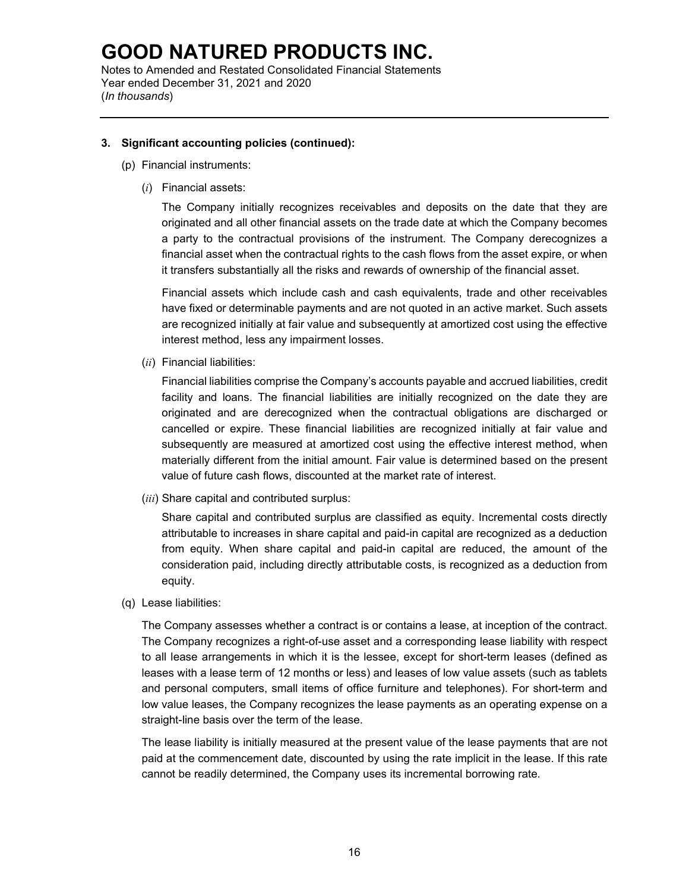Notes to Amended and Restated Consolidated Financial Statements Year ended December 31, 2021 and 2020 (*In thousands*)

#### **3. Significant accounting policies (continued):**

- (p) Financial instruments:
	- (*i*) Financial assets:

The Company initially recognizes receivables and deposits on the date that they are originated and all other financial assets on the trade date at which the Company becomes a party to the contractual provisions of the instrument. The Company derecognizes a financial asset when the contractual rights to the cash flows from the asset expire, or when it transfers substantially all the risks and rewards of ownership of the financial asset.

Financial assets which include cash and cash equivalents, trade and other receivables have fixed or determinable payments and are not quoted in an active market. Such assets are recognized initially at fair value and subsequently at amortized cost using the effective interest method, less any impairment losses.

(*ii*) Financial liabilities:

Financial liabilities comprise the Company's accounts payable and accrued liabilities, credit facility and loans. The financial liabilities are initially recognized on the date they are originated and are derecognized when the contractual obligations are discharged or cancelled or expire. These financial liabilities are recognized initially at fair value and subsequently are measured at amortized cost using the effective interest method, when materially different from the initial amount. Fair value is determined based on the present value of future cash flows, discounted at the market rate of interest.

(*iii*) Share capital and contributed surplus:

Share capital and contributed surplus are classified as equity. Incremental costs directly attributable to increases in share capital and paid-in capital are recognized as a deduction from equity. When share capital and paid-in capital are reduced, the amount of the consideration paid, including directly attributable costs, is recognized as a deduction from equity.

(q) Lease liabilities:

The Company assesses whether a contract is or contains a lease, at inception of the contract. The Company recognizes a right-of-use asset and a corresponding lease liability with respect to all lease arrangements in which it is the lessee, except for short-term leases (defined as leases with a lease term of 12 months or less) and leases of low value assets (such as tablets and personal computers, small items of office furniture and telephones). For short-term and low value leases, the Company recognizes the lease payments as an operating expense on a straight-line basis over the term of the lease.

The lease liability is initially measured at the present value of the lease payments that are not paid at the commencement date, discounted by using the rate implicit in the lease. If this rate cannot be readily determined, the Company uses its incremental borrowing rate.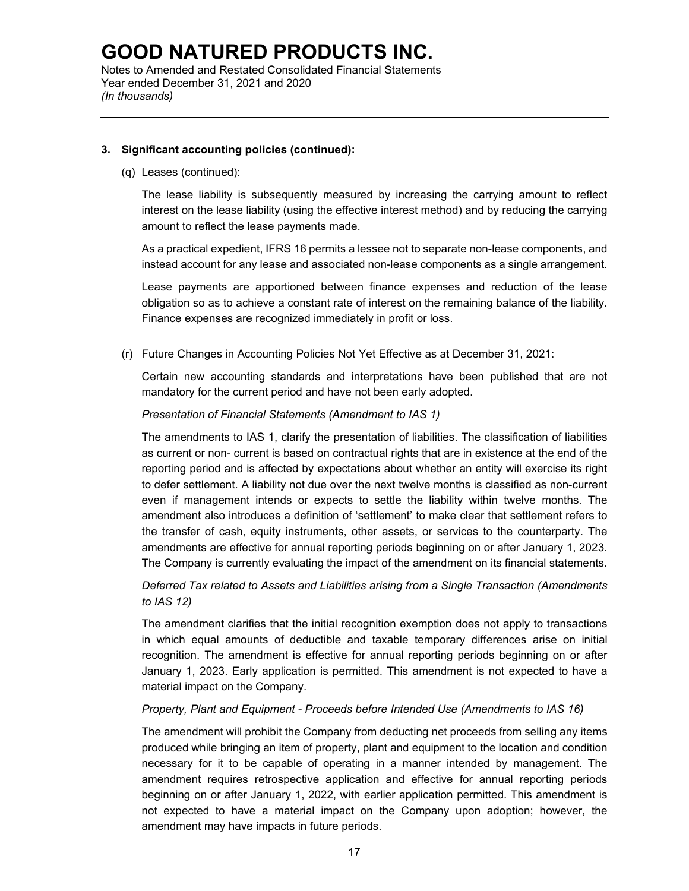Notes to Amended and Restated Consolidated Financial Statements Year ended December 31, 2021 and 2020 *(In thousands)* 

#### **3. Significant accounting policies (continued):**

(q) Leases (continued):

The lease liability is subsequently measured by increasing the carrying amount to reflect interest on the lease liability (using the effective interest method) and by reducing the carrying amount to reflect the lease payments made.

As a practical expedient, IFRS 16 permits a lessee not to separate non-lease components, and instead account for any lease and associated non-lease components as a single arrangement.

Lease payments are apportioned between finance expenses and reduction of the lease obligation so as to achieve a constant rate of interest on the remaining balance of the liability. Finance expenses are recognized immediately in profit or loss.

(r) Future Changes in Accounting Policies Not Yet Effective as at December 31, 2021:

Certain new accounting standards and interpretations have been published that are not mandatory for the current period and have not been early adopted.

#### *Presentation of Financial Statements (Amendment to IAS 1)*

The amendments to IAS 1, clarify the presentation of liabilities. The classification of liabilities as current or non- current is based on contractual rights that are in existence at the end of the reporting period and is affected by expectations about whether an entity will exercise its right to defer settlement. A liability not due over the next twelve months is classified as non-current even if management intends or expects to settle the liability within twelve months. The amendment also introduces a definition of 'settlement' to make clear that settlement refers to the transfer of cash, equity instruments, other assets, or services to the counterparty. The amendments are effective for annual reporting periods beginning on or after January 1, 2023. The Company is currently evaluating the impact of the amendment on its financial statements.

#### *Deferred Tax related to Assets and Liabilities arising from a Single Transaction (Amendments to IAS 12)*

The amendment clarifies that the initial recognition exemption does not apply to transactions in which equal amounts of deductible and taxable temporary differences arise on initial recognition. The amendment is effective for annual reporting periods beginning on or after January 1, 2023. Early application is permitted. This amendment is not expected to have a material impact on the Company.

#### *Property, Plant and Equipment - Proceeds before Intended Use (Amendments to IAS 16)*

The amendment will prohibit the Company from deducting net proceeds from selling any items produced while bringing an item of property, plant and equipment to the location and condition necessary for it to be capable of operating in a manner intended by management. The amendment requires retrospective application and effective for annual reporting periods beginning on or after January 1, 2022, with earlier application permitted. This amendment is not expected to have a material impact on the Company upon adoption; however, the amendment may have impacts in future periods.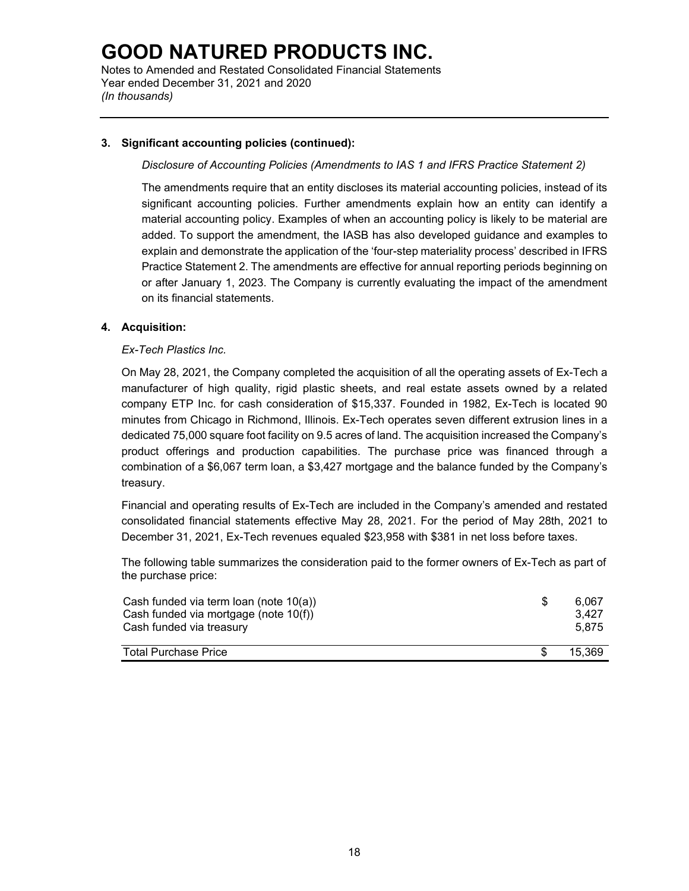Notes to Amended and Restated Consolidated Financial Statements Year ended December 31, 2021 and 2020 *(In thousands)* 

#### **3. Significant accounting policies (continued):**

*Disclosure of Accounting Policies (Amendments to IAS 1 and IFRS Practice Statement 2)*

The amendments require that an entity discloses its material accounting policies, instead of its significant accounting policies. Further amendments explain how an entity can identify a material accounting policy. Examples of when an accounting policy is likely to be material are added. To support the amendment, the IASB has also developed guidance and examples to explain and demonstrate the application of the 'four-step materiality process' described in IFRS Practice Statement 2. The amendments are effective for annual reporting periods beginning on or after January 1, 2023. The Company is currently evaluating the impact of the amendment on its financial statements.

#### **4. Acquisition:**

#### *Ex-Tech Plastics Inc.*

On May 28, 2021, the Company completed the acquisition of all the operating assets of Ex-Tech a manufacturer of high quality, rigid plastic sheets, and real estate assets owned by a related company ETP Inc. for cash consideration of \$15,337. Founded in 1982, Ex-Tech is located 90 minutes from Chicago in Richmond, Illinois. Ex-Tech operates seven different extrusion lines in a dedicated 75,000 square foot facility on 9.5 acres of land. The acquisition increased the Company's product offerings and production capabilities. The purchase price was financed through a combination of a \$6,067 term loan, a \$3,427 mortgage and the balance funded by the Company's treasury.

Financial and operating results of Ex-Tech are included in the Company's amended and restated consolidated financial statements effective May 28, 2021. For the period of May 28th, 2021 to December 31, 2021, Ex-Tech revenues equaled \$23,958 with \$381 in net loss before taxes.

The following table summarizes the consideration paid to the former owners of Ex-Tech as part of the purchase price:

| Cash funded via term Ioan (note 10(a))<br>Cash funded via mortgage (note 10(f))<br>Cash funded via treasury | 6.067<br>3.427<br>5.875 |
|-------------------------------------------------------------------------------------------------------------|-------------------------|
| <b>Total Purchase Price</b>                                                                                 | 15.369                  |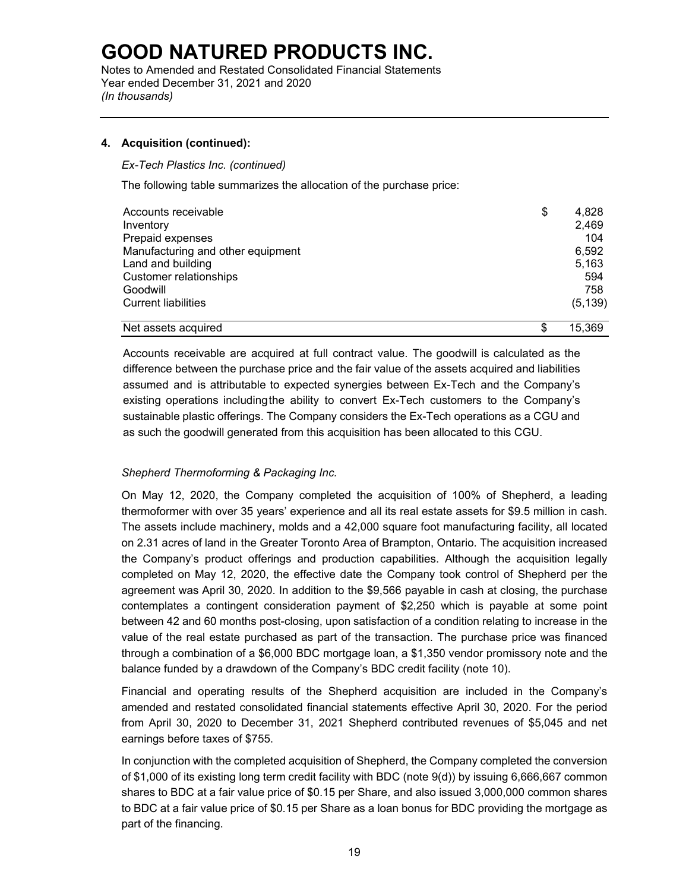Notes to Amended and Restated Consolidated Financial Statements Year ended December 31, 2021 and 2020 *(In thousands)* 

#### **4. Acquisition (continued):**

*Ex-Tech Plastics Inc. (continued)*

The following table summarizes the allocation of the purchase price:

| Accounts receivable<br>Inventory  | \$ | 4,828<br>2,469 |
|-----------------------------------|----|----------------|
| Prepaid expenses                  |    | 104            |
| Manufacturing and other equipment |    | 6,592          |
| Land and building                 |    | 5,163          |
| <b>Customer relationships</b>     |    | 594            |
| Goodwill                          |    | 758            |
| <b>Current liabilities</b>        |    | (5, 139)       |
| Net assets acquired               | S  | 15.369         |

Accounts receivable are acquired at full contract value. The goodwill is calculated as the difference between the purchase price and the fair value of the assets acquired and liabilities assumed and is attributable to expected synergies between Ex-Tech and the Company's existing operations includingthe ability to convert Ex-Tech customers to the Company's sustainable plastic offerings. The Company considers the Ex-Tech operations as a CGU and as such the goodwill generated from this acquisition has been allocated to this CGU.

#### *Shepherd Thermoforming & Packaging Inc.*

On May 12, 2020, the Company completed the acquisition of 100% of Shepherd, a leading thermoformer with over 35 years' experience and all its real estate assets for \$9.5 million in cash. The assets include machinery, molds and a 42,000 square foot manufacturing facility, all located on 2.31 acres of land in the Greater Toronto Area of Brampton, Ontario. The acquisition increased the Company's product offerings and production capabilities. Although the acquisition legally completed on May 12, 2020, the effective date the Company took control of Shepherd per the agreement was April 30, 2020. In addition to the \$9,566 payable in cash at closing, the purchase contemplates a contingent consideration payment of \$2,250 which is payable at some point between 42 and 60 months post-closing, upon satisfaction of a condition relating to increase in the value of the real estate purchased as part of the transaction. The purchase price was financed through a combination of a \$6,000 BDC mortgage loan, a \$1,350 vendor promissory note and the balance funded by a drawdown of the Company's BDC credit facility (note 10).

Financial and operating results of the Shepherd acquisition are included in the Company's amended and restated consolidated financial statements effective April 30, 2020. For the period from April 30, 2020 to December 31, 2021 Shepherd contributed revenues of \$5,045 and net earnings before taxes of \$755.

In conjunction with the completed acquisition of Shepherd, the Company completed the conversion of \$1,000 of its existing long term credit facility with BDC (note 9(d)) by issuing 6,666,667 common shares to BDC at a fair value price of \$0.15 per Share, and also issued 3,000,000 common shares to BDC at a fair value price of \$0.15 per Share as a loan bonus for BDC providing the mortgage as part of the financing.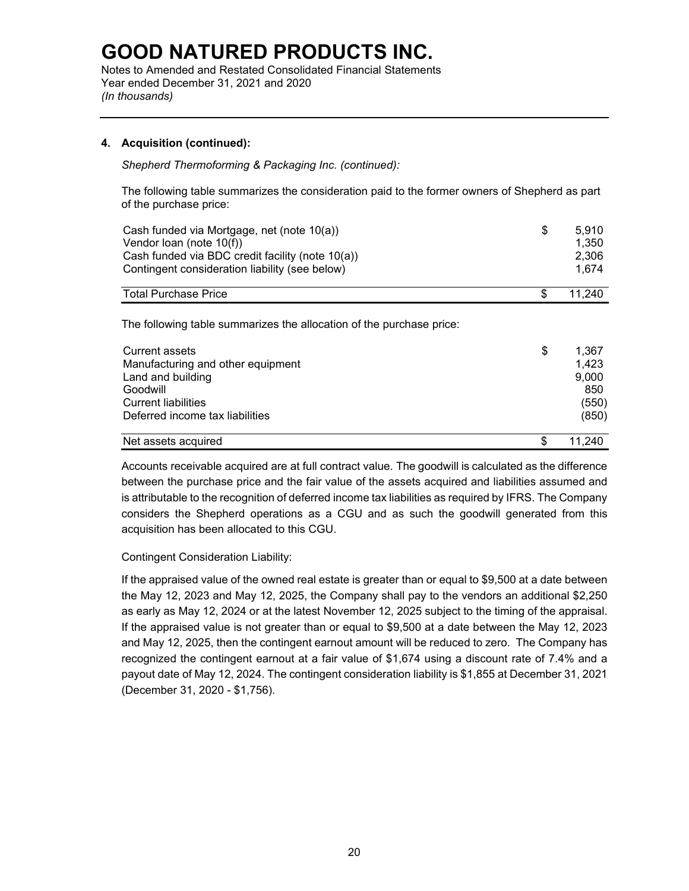Notes to Amended and Restated Consolidated Financial Statements Year ended December 31, 2021 and 2020 *(In thousands)* 

#### **4. Acquisition (continued):**

*Shepherd Thermoforming & Packaging Inc. (continued):*

The following table summarizes the consideration paid to the former owners of Shepherd as part of the purchase price:

| Cash funded via Mortgage, net (note 10(a))<br>Vendor Ioan (note 10(f))<br>Cash funded via BDC credit facility (note $10(a)$ )<br>Contingent consideration liability (see below) | 5.910<br>1.350<br>2.306<br>1.674 |
|---------------------------------------------------------------------------------------------------------------------------------------------------------------------------------|----------------------------------|
| <b>Total Purchase Price</b>                                                                                                                                                     | 11.240                           |

The following table summarizes the allocation of the purchase price:

| Current assets<br>Manufacturing and other equipment<br>Land and building<br>Goodwill<br><b>Current liabilities</b><br>Deferred income tax liabilities | S | 1.367<br>1,423<br>9,000<br>850<br>(550)<br>(850) |
|-------------------------------------------------------------------------------------------------------------------------------------------------------|---|--------------------------------------------------|
| Net assets acquired                                                                                                                                   |   | 11.240                                           |

Accounts receivable acquired are at full contract value. The goodwill is calculated as the difference between the purchase price and the fair value of the assets acquired and liabilities assumed and is attributable to the recognition of deferred income tax liabilities as required by IFRS. The Company considers the Shepherd operations as a CGU and as such the goodwill generated from this acquisition has been allocated to this CGU.

Contingent Consideration Liability:

If the appraised value of the owned real estate is greater than or equal to \$9,500 at a date between the May 12, 2023 and May 12, 2025, the Company shall pay to the vendors an additional \$2,250 as early as May 12, 2024 or at the latest November 12, 2025 subject to the timing of the appraisal. If the appraised value is not greater than or equal to \$9,500 at a date between the May 12, 2023 and May 12, 2025, then the contingent earnout amount will be reduced to zero. The Company has recognized the contingent earnout at a fair value of \$1,674 using a discount rate of 7.4% and a payout date of May 12, 2024. The contingent consideration liability is \$1,855 at December 31, 2021 (December 31, 2020 - \$1,756).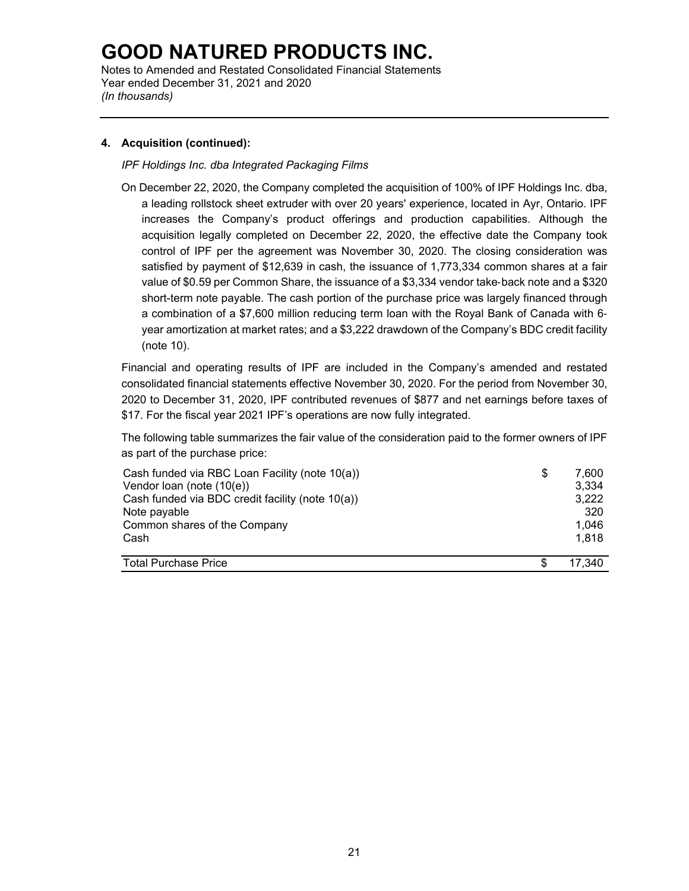Notes to Amended and Restated Consolidated Financial Statements Year ended December 31, 2021 and 2020 *(In thousands)*

#### **4. Acquisition (continued):**

*IPF Holdings Inc. dba Integrated Packaging Films*

On December 22, 2020, the Company completed the acquisition of 100% of IPF Holdings Inc. dba, a leading rollstock sheet extruder with over 20 years' experience, located in Ayr, Ontario. IPF increases the Company's product offerings and production capabilities. Although the acquisition legally completed on December 22, 2020, the effective date the Company took control of IPF per the agreement was November 30, 2020. The closing consideration was satisfied by payment of \$12,639 in cash, the issuance of 1,773,334 common shares at a fair value of \$0.59 per Common Share, the issuance of a \$3,334 vendor take‐back note and a \$320 short-term note payable. The cash portion of the purchase price was largely financed through a combination of a \$7,600 million reducing term loan with the Royal Bank of Canada with 6‐ year amortization at market rates; and a \$3,222 drawdown of the Company's BDC credit facility (note 10).

Financial and operating results of IPF are included in the Company's amended and restated consolidated financial statements effective November 30, 2020. For the period from November 30, 2020 to December 31, 2020, IPF contributed revenues of \$877 and net earnings before taxes of \$17. For the fiscal year 2021 IPF's operations are now fully integrated.

The following table summarizes the fair value of the consideration paid to the former owners of IPF as part of the purchase price:

| Note payable<br>Common shares of the Company<br>Cash                                                                               | 320<br>1.046<br>1.818   |  |
|------------------------------------------------------------------------------------------------------------------------------------|-------------------------|--|
| Cash funded via RBC Loan Facility (note $10(a)$ )<br>Vendor Ioan (note (10(e))<br>Cash funded via BDC credit facility (note 10(a)) | 7.600<br>3.334<br>3.222 |  |

| Total Purchase Price | ĸIJ | .340 |
|----------------------|-----|------|
|----------------------|-----|------|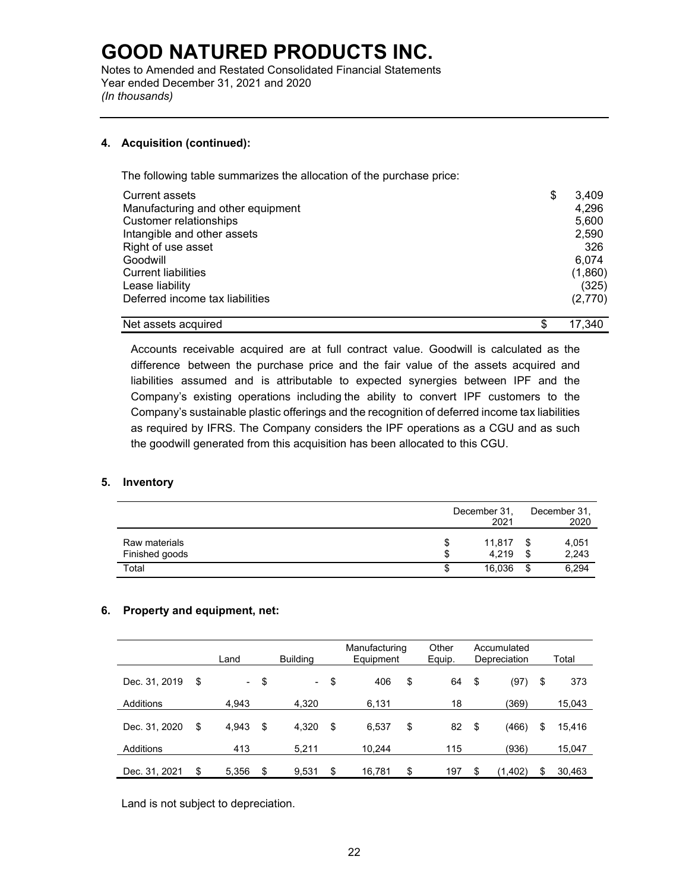Notes to Amended and Restated Consolidated Financial Statements Year ended December 31, 2021 and 2020 *(In thousands)*

#### **4. Acquisition (continued):**

The following table summarizes the allocation of the purchase price:

| <b>Current assets</b><br>Manufacturing and other equipment<br>Customer relationships<br>Intangible and other assets<br>Right of use asset<br>Goodwill<br><b>Current liabilities</b><br>Lease liability | \$<br>3,409<br>4,296<br>5,600<br>2,590<br>326<br>6,074<br>(1,860)<br>(325) |
|--------------------------------------------------------------------------------------------------------------------------------------------------------------------------------------------------------|----------------------------------------------------------------------------|
| Deferred income tax liabilities                                                                                                                                                                        | (2,770)                                                                    |
| Net assets acquired                                                                                                                                                                                    | \$<br>17.340                                                               |

Accounts receivable acquired are at full contract value. Goodwill is calculated as the difference between the purchase price and the fair value of the assets acquired and liabilities assumed and is attributable to expected synergies between IPF and the Company's existing operations including the ability to convert IPF customers to the Company's sustainable plastic offerings and the recognition of deferred income tax liabilities as required by IFRS. The Company considers the IPF operations as a CGU and as such the goodwill generated from this acquisition has been allocated to this CGU.

#### **5. Inventory**

|                                 |   | December 31,<br>2021 | December 31,<br>2020 |                |  |
|---------------------------------|---|----------------------|----------------------|----------------|--|
| Raw materials<br>Finished goods | S | 11.817<br>4.219      |                      | 4,051<br>2,243 |  |
| Total                           |   | 16.036               | \$                   | 6.294          |  |

#### **6. Property and equipment, net:**

|                  | Land         | <b>Building</b>                | Manufacturing<br>Equipment |        | Other<br>Equip. | Accumulated<br>Depreciation |    | Total   |              |
|------------------|--------------|--------------------------------|----------------------------|--------|-----------------|-----------------------------|----|---------|--------------|
| Dec. 31, 2019    | \$<br>$\sim$ | \$<br>$\overline{\phantom{0}}$ | \$                         | 406    | \$              | 64                          | \$ | (97)    | \$<br>373    |
| Additions        | 4.943        | 4.320                          |                            | 6.131  |                 | 18                          |    | (369)   | 15,043       |
| Dec. 31, 2020    | \$<br>4.943  | \$<br>4,320                    | \$                         | 6.537  | \$              | 82                          | \$ | (466)   | \$<br>15,416 |
| <b>Additions</b> | 413          | 5.211                          |                            | 10.244 |                 | 115                         |    | (936)   | 15,047       |
| Dec. 31, 2021    | \$<br>5,356  | \$<br>9,531                    | \$                         | 16,781 | \$              | 197                         | \$ | (1.402) | \$<br>30,463 |

Land is not subject to depreciation.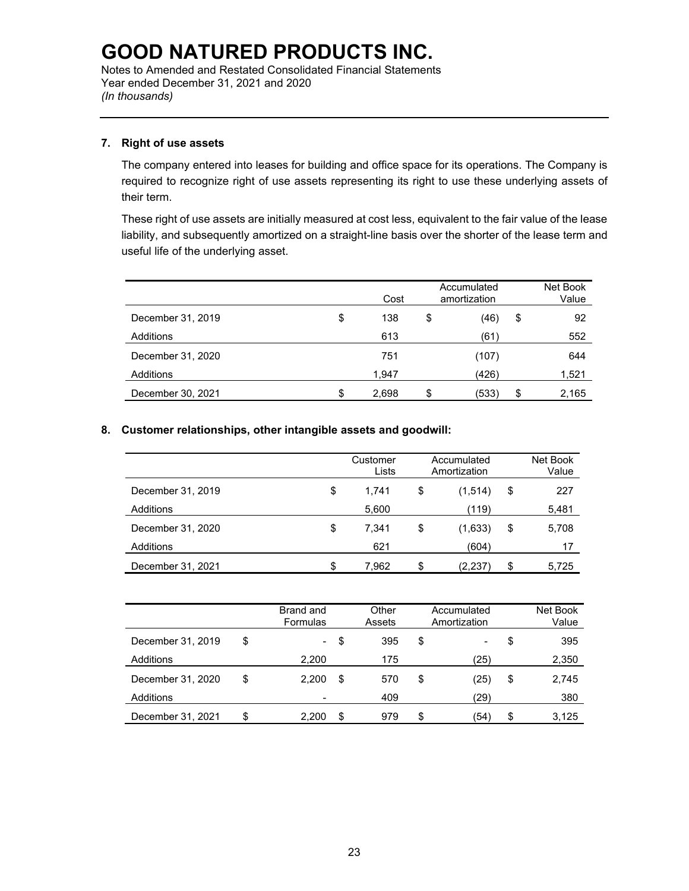#### **7. Right of use assets**

The company entered into leases for building and office space for its operations. The Company is required to recognize right of use assets representing its right to use these underlying assets of their term.

These right of use assets are initially measured at cost less, equivalent to the fair value of the lease liability, and subsequently amortized on a straight-line basis over the shorter of the lease term and useful life of the underlying asset.

|                   | Cost        | Accumulated<br>amortization | Net Book<br>Value |
|-------------------|-------------|-----------------------------|-------------------|
| December 31, 2019 | \$<br>138   | \$<br>(46)                  | \$<br>92          |
| Additions         | 613         | (61)                        | 552               |
| December 31, 2020 | 751         | (107)                       | 644               |
| Additions         | 1,947       | (426)                       | 1,521             |
| December 30, 2021 | \$<br>2,698 | \$<br>(533)                 | \$<br>2,165       |

#### **8. Customer relationships, other intangible assets and goodwill:**

|                   | Customer<br>Lists | Accumulated<br>Amortization |    | Net Book<br>Value |
|-------------------|-------------------|-----------------------------|----|-------------------|
| December 31, 2019 | \$<br>1,741       | \$<br>(1,514)               | \$ | 227               |
| Additions         | 5,600             | (119)                       |    | 5,481             |
| December 31, 2020 | \$<br>7.341       | \$<br>(1,633)               | \$ | 5,708             |
| Additions         | 621               | (604)                       |    | 17                |
| December 31, 2021 | \$<br>7,962       | \$<br>(2,237)               | S  | 5,725             |

|                   |    | Brand and<br>Formulas |    | Other<br>Assets | Accumulated<br>Amortization |    | Net Book<br>Value |
|-------------------|----|-----------------------|----|-----------------|-----------------------------|----|-------------------|
| December 31, 2019 | \$ | $\sim$                | \$ | 395             | \$                          | \$ | 395               |
| Additions         |    | 2.200                 |    | 175             | (25)                        |    | 2,350             |
| December 31, 2020 | \$ | 2.200                 | \$ | 570             | \$<br>(25)                  | \$ | 2,745             |
| Additions         |    |                       |    | 409             | (29)                        |    | 380               |
| December 31, 2021 | S. | 2.200                 | S  | 979             | \$<br>(54)                  | S  | 3,125             |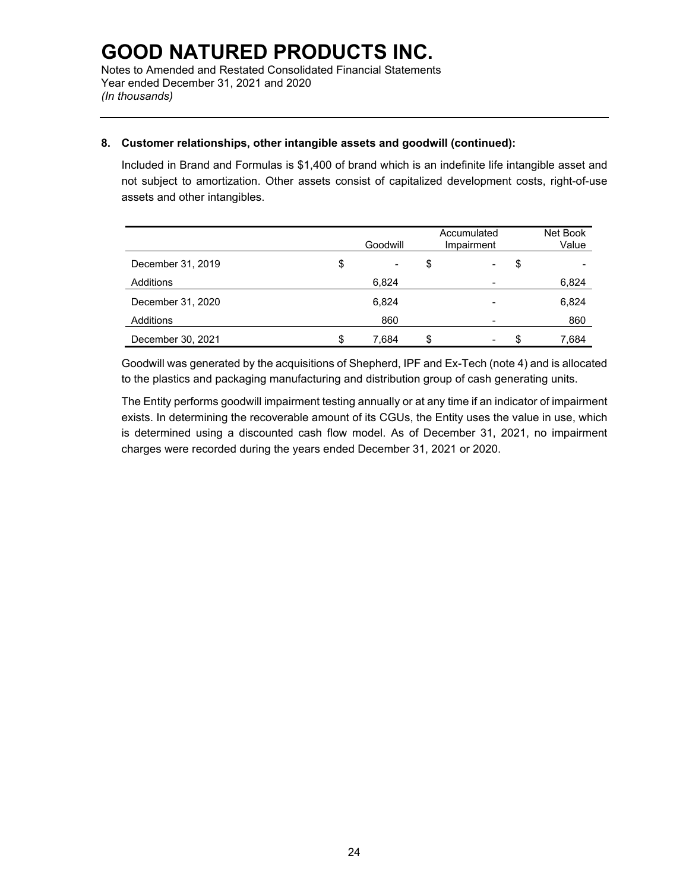#### **8. Customer relationships, other intangible assets and goodwill (continued):**

Included in Brand and Formulas is \$1,400 of brand which is an indefinite life intangible asset and not subject to amortization. Other assets consist of capitalized development costs, right-of-use assets and other intangibles.

|                   | Goodwill                       | Accumulated<br>Impairment |    | Net Book<br>Value |
|-------------------|--------------------------------|---------------------------|----|-------------------|
| December 31, 2019 | \$<br>$\overline{\phantom{0}}$ | \$                        | \$ |                   |
| Additions         | 6,824                          |                           |    | 6,824             |
| December 31, 2020 | 6,824                          |                           |    | 6,824             |
| Additions         | 860                            |                           |    | 860               |
| December 30, 2021 | \$<br>7.684                    | \$                        | S  | 7.684             |

Goodwill was generated by the acquisitions of Shepherd, IPF and Ex-Tech (note 4) and is allocated to the plastics and packaging manufacturing and distribution group of cash generating units.

The Entity performs goodwill impairment testing annually or at any time if an indicator of impairment exists. In determining the recoverable amount of its CGUs, the Entity uses the value in use, which is determined using a discounted cash flow model. As of December 31, 2021, no impairment charges were recorded during the years ended December 31, 2021 or 2020.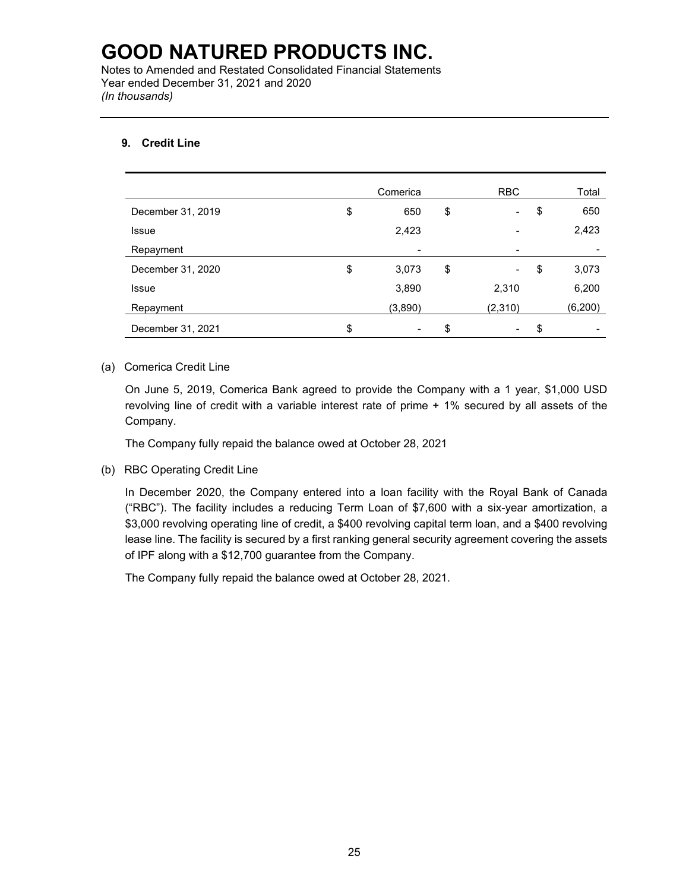Notes to Amended and Restated Consolidated Financial Statements Year ended December 31, 2021 and 2020 *(In thousands)*

#### **9. Credit Line**

|                   | Comerica                       | <b>RBC</b>                         | Total       |
|-------------------|--------------------------------|------------------------------------|-------------|
| December 31, 2019 | \$<br>650                      | \$                                 | \$<br>650   |
| Issue             | 2,423                          |                                    | 2,423       |
| Repayment         | ٠                              |                                    |             |
| December 31, 2020 | \$<br>3,073                    | \$<br>$\blacksquare$               | \$<br>3,073 |
| <b>Issue</b>      | 3,890                          | 2,310                              | 6,200       |
| Repayment         | (3,890)                        | (2,310)                            | (6, 200)    |
| December 31, 2021 | \$<br>$\overline{\phantom{0}}$ | \$<br>$\qquad \qquad \blacksquare$ | \$<br>-     |

#### (a) Comerica Credit Line

On June 5, 2019, Comerica Bank agreed to provide the Company with a 1 year, \$1,000 USD revolving line of credit with a variable interest rate of prime + 1% secured by all assets of the Company.

The Company fully repaid the balance owed at October 28, 2021

(b) RBC Operating Credit Line

In December 2020, the Company entered into a loan facility with the Royal Bank of Canada ("RBC"). The facility includes a reducing Term Loan of \$7,600 with a six-year amortization, a \$3,000 revolving operating line of credit, a \$400 revolving capital term loan, and a \$400 revolving lease line. The facility is secured by a first ranking general security agreement covering the assets of IPF along with a \$12,700 guarantee from the Company.

The Company fully repaid the balance owed at October 28, 2021.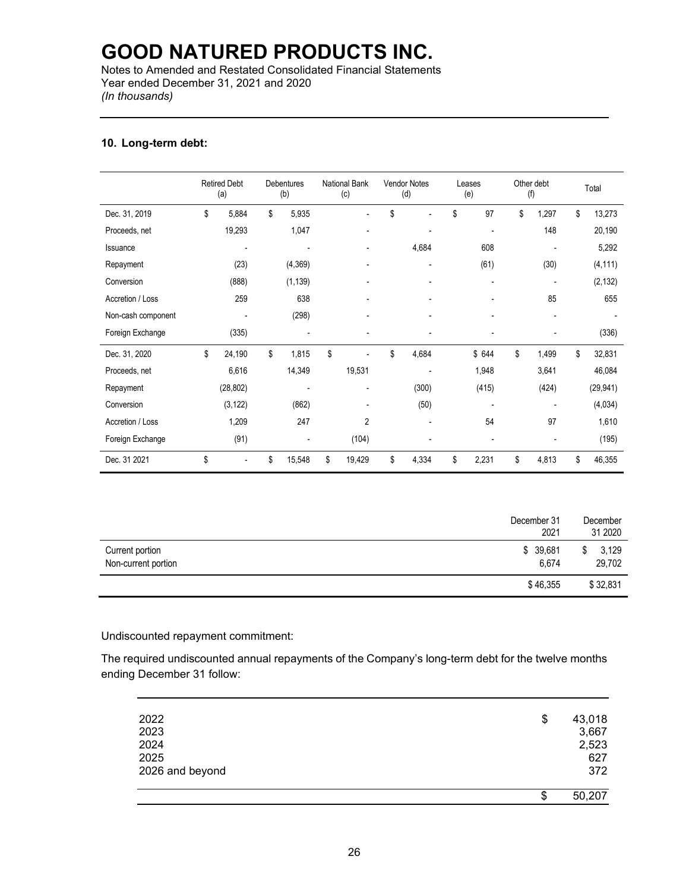Notes to Amended and Restated Consolidated Financial Statements Year ended December 31, 2021 and 2020 *(In thousands)*

#### **10. Long-term debt:**

|                    | <b>Retired Debt</b><br>(a) | <b>Debentures</b><br>(b) | <b>National Bank</b><br>(c)  | <b>Vendor Notes</b><br>(d) | Leases<br>(e)            | Other debt<br>(f) | Total        |
|--------------------|----------------------------|--------------------------|------------------------------|----------------------------|--------------------------|-------------------|--------------|
| Dec. 31, 2019      | \$<br>5,884                | \$<br>5,935              | $\overline{a}$               | \$                         | \$<br>97                 | \$<br>1,297       | \$<br>13,273 |
| Proceeds, net      | 19,293                     | 1,047                    |                              |                            | $\overline{\phantom{a}}$ | 148               | 20,190       |
| Issuance           |                            |                          |                              | 4,684                      | 608                      |                   | 5,292        |
| Repayment          | (23)                       | (4,369)                  |                              |                            | (61)                     | (30)              | (4, 111)     |
| Conversion         | (888)                      | (1, 139)                 |                              |                            |                          |                   | (2, 132)     |
| Accretion / Loss   | 259                        | 638                      |                              |                            |                          | 85                | 655          |
| Non-cash component | $\overline{\phantom{a}}$   | (298)                    | $\overline{\phantom{a}}$     | $\overline{\phantom{0}}$   | $\blacksquare$           |                   |              |
| Foreign Exchange   | (335)                      |                          |                              |                            |                          |                   | (336)        |
| Dec. 31, 2020      | \$<br>24,190               | \$<br>1,815              | \$                           | \$<br>4,684                | \$ 644                   | \$<br>1,499       | \$<br>32,831 |
| Proceeds, net      | 6,616                      | 14,349                   | 19,531                       | $\overline{\phantom{a}}$   | 1,948                    | 3,641             | 46,084       |
| Repayment          | (28, 802)                  | $\overline{\phantom{a}}$ | $\qquad \qquad \blacksquare$ | (300)                      | (415)                    | (424)             | (29, 941)    |
| Conversion         | (3, 122)                   | (862)                    |                              | (50)                       |                          |                   | (4,034)      |
| Accretion / Loss   | 1,209                      | 247                      | $\overline{2}$               |                            | 54                       | 97                | 1,610        |
| Foreign Exchange   | (91)                       |                          | (104)                        |                            |                          |                   | (195)        |
| Dec. 31 2021       | \$                         | \$<br>15,548             | \$<br>19,429                 | \$<br>4,334                | \$<br>2,231              | \$<br>4,813       | \$<br>46,355 |

|                                        | December 31<br>2021 | December<br>31 2020 |
|----------------------------------------|---------------------|---------------------|
| Current portion<br>Non-current portion | \$39,681<br>6.674   | 3,129<br>29,702     |
|                                        | \$46,355            | \$32,831            |

Undiscounted repayment commitment:

The required undiscounted annual repayments of the Company's long-term debt for the twelve months ending December 31 follow:

| 2022            | \$<br>43,018 |
|-----------------|--------------|
| 2023            | 3,667        |
| 2024            | 2,523        |
| 2025            | 627          |
| 2026 and beyond | 372          |
|                 |              |
|                 | \$<br>50,207 |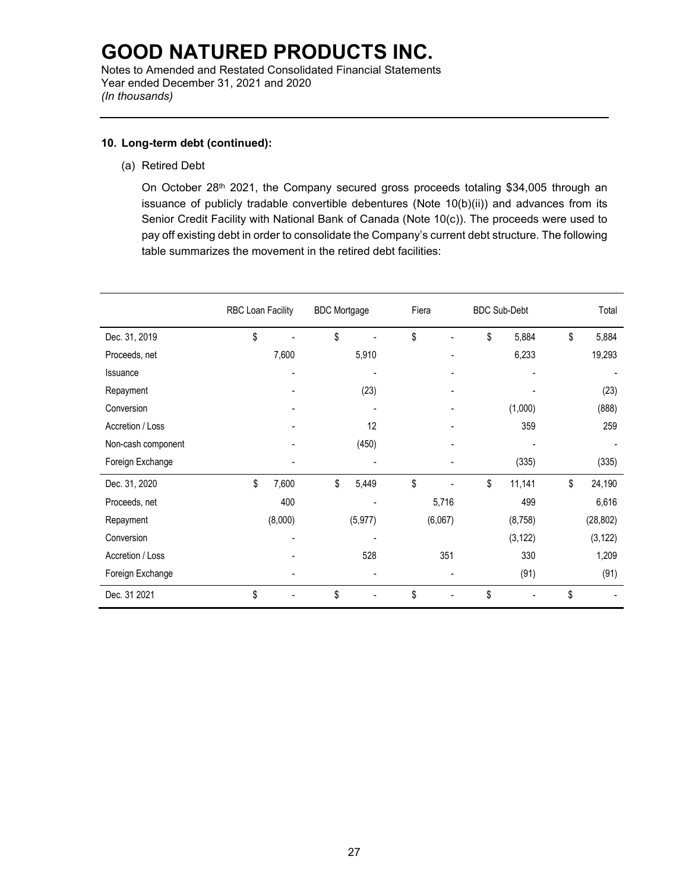#### **10. Long-term debt (continued):**

(a) Retired Debt

On October 28th 2021, the Company secured gross proceeds totaling \$34,005 through an issuance of publicly tradable convertible debentures (Note 10(b)(ii)) and advances from its Senior Credit Facility with National Bank of Canada (Note 10(c)). The proceeds were used to pay off existing debt in order to consolidate the Company's current debt structure. The following table summarizes the movement in the retired debt facilities:

|                    | RBC Loan Facility |         | <b>BDC Mortgage</b> |          | Fiera |         | <b>BDC Sub-Debt</b> |          | Total        |
|--------------------|-------------------|---------|---------------------|----------|-------|---------|---------------------|----------|--------------|
| Dec. 31, 2019      | \$                |         | \$                  |          | \$    |         | \$                  | 5,884    | \$<br>5,884  |
| Proceeds, net      |                   | 7,600   |                     | 5,910    |       |         |                     | 6,233    | 19,293       |
| Issuance           |                   |         |                     |          |       |         |                     |          |              |
| Repayment          |                   |         |                     | (23)     |       |         |                     |          | (23)         |
| Conversion         |                   |         |                     |          |       |         |                     | (1,000)  | (888)        |
| Accretion / Loss   |                   |         |                     | 12       |       |         |                     | 359      | 259          |
| Non-cash component |                   |         |                     | (450)    |       |         |                     |          |              |
| Foreign Exchange   |                   |         |                     |          |       |         |                     | (335)    | (335)        |
| Dec. 31, 2020      | \$                | 7,600   | \$                  | 5,449    | \$    |         | \$                  | 11,141   | \$<br>24,190 |
| Proceeds, net      |                   | 400     |                     |          |       | 5,716   |                     | 499      | 6,616        |
| Repayment          |                   | (8,000) |                     | (5, 977) |       | (6,067) |                     | (8,758)  | (28, 802)    |
| Conversion         |                   |         |                     |          |       |         |                     | (3, 122) | (3, 122)     |
| Accretion / Loss   |                   |         |                     | 528      |       | 351     |                     | 330      | 1,209        |
| Foreign Exchange   |                   |         |                     |          |       |         |                     | (91)     | (91)         |
| Dec. 31 2021       | \$                |         | \$                  |          | \$    |         | \$                  |          | \$           |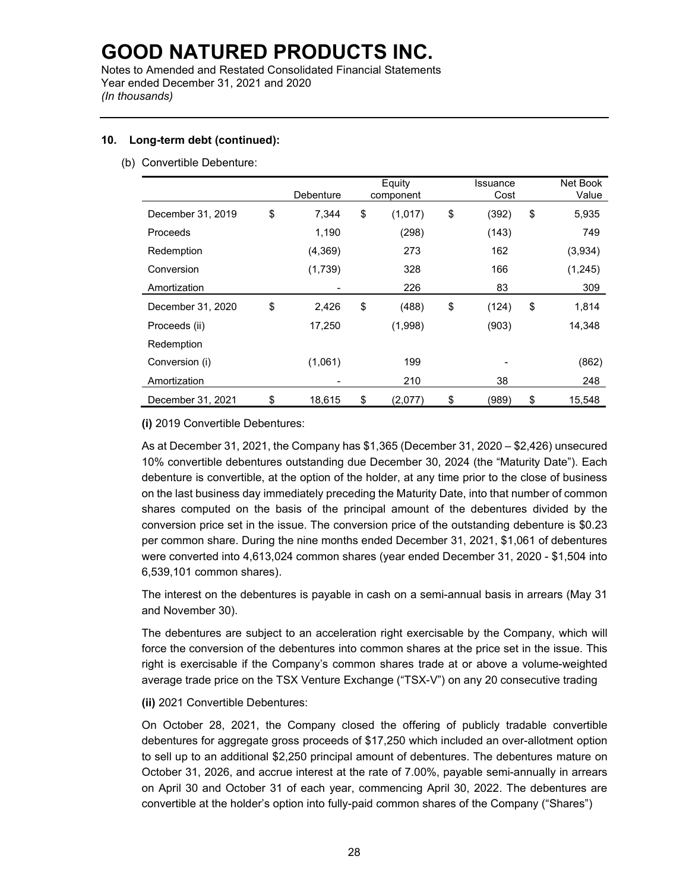#### **10. Long-term debt (continued):**

(b) Convertible Debenture:

|                   | Debenture    | Equity<br>component | Issuance<br>Cost | Net Book<br>Value |
|-------------------|--------------|---------------------|------------------|-------------------|
| December 31, 2019 | \$<br>7,344  | \$<br>(1,017)       | \$<br>(392)      | \$<br>5,935       |
| Proceeds          | 1,190        | (298)               | (143)            | 749               |
| Redemption        | (4,369)      | 273                 | 162              | (3,934)           |
| Conversion        | (1,739)      | 328                 | 166              | (1,245)           |
| Amortization      |              | 226                 | 83               | 309               |
| December 31, 2020 | \$<br>2,426  | \$<br>(488)         | \$<br>(124)      | \$<br>1,814       |
| Proceeds (ii)     | 17,250       | (1,998)             | (903)            | 14,348            |
| Redemption        |              |                     |                  |                   |
| Conversion (i)    | (1,061)      | 199                 |                  | (862)             |
| Amortization      |              | 210                 | 38               | 248               |
| December 31, 2021 | \$<br>18,615 | \$<br>(2,077)       | \$<br>(989)      | \$<br>15,548      |

**(i)** 2019 Convertible Debentures:

As at December 31, 2021, the Company has \$1,365 (December 31, 2020 – \$2,426) unsecured 10% convertible debentures outstanding due December 30, 2024 (the "Maturity Date"). Each debenture is convertible, at the option of the holder, at any time prior to the close of business on the last business day immediately preceding the Maturity Date, into that number of common shares computed on the basis of the principal amount of the debentures divided by the conversion price set in the issue. The conversion price of the outstanding debenture is \$0.23 per common share. During the nine months ended December 31, 2021, \$1,061 of debentures were converted into 4,613,024 common shares (year ended December 31, 2020 - \$1,504 into 6,539,101 common shares).

The interest on the debentures is payable in cash on a semi-annual basis in arrears (May 31 and November 30).

The debentures are subject to an acceleration right exercisable by the Company, which will force the conversion of the debentures into common shares at the price set in the issue. This right is exercisable if the Company's common shares trade at or above a volume-weighted average trade price on the TSX Venture Exchange ("TSX-V") on any 20 consecutive trading

#### **(ii)** 2021 Convertible Debentures:

On October 28, 2021, the Company closed the offering of publicly tradable convertible debentures for aggregate gross proceeds of \$17,250 which included an over-allotment option to sell up to an additional \$2,250 principal amount of debentures. The debentures mature on October 31, 2026, and accrue interest at the rate of 7.00%, payable semi-annually in arrears on April 30 and October 31 of each year, commencing April 30, 2022. The debentures are convertible at the holder's option into fully-paid common shares of the Company ("Shares")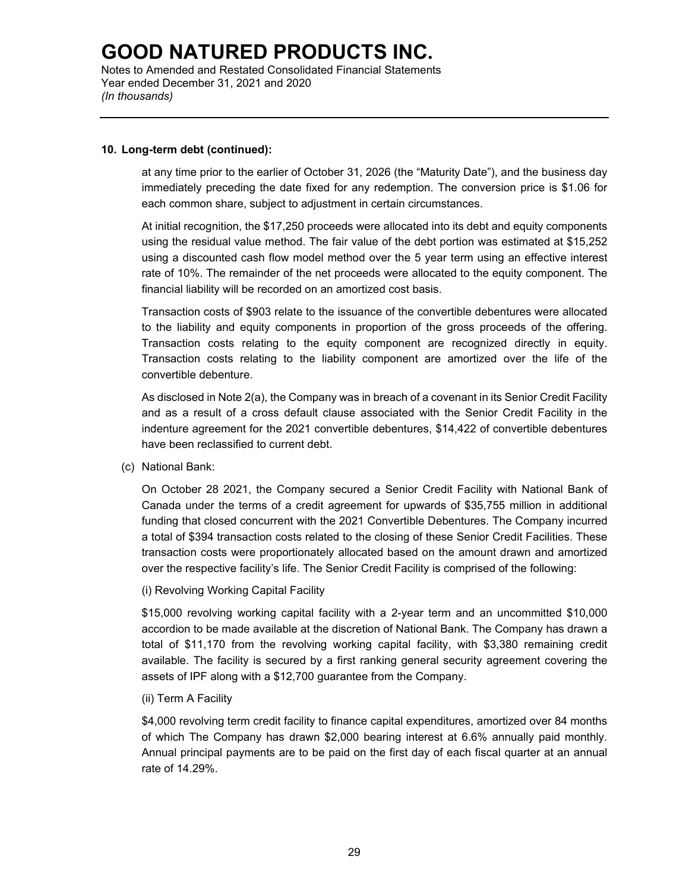Notes to Amended and Restated Consolidated Financial Statements Year ended December 31, 2021 and 2020 *(In thousands)*

#### **10. Long-term debt (continued):**

at any time prior to the earlier of October 31, 2026 (the "Maturity Date"), and the business day immediately preceding the date fixed for any redemption. The conversion price is \$1.06 for each common share, subject to adjustment in certain circumstances.

At initial recognition, the \$17,250 proceeds were allocated into its debt and equity components using the residual value method. The fair value of the debt portion was estimated at \$15,252 using a discounted cash flow model method over the 5 year term using an effective interest rate of 10%. The remainder of the net proceeds were allocated to the equity component. The financial liability will be recorded on an amortized cost basis.

Transaction costs of \$903 relate to the issuance of the convertible debentures were allocated to the liability and equity components in proportion of the gross proceeds of the offering. Transaction costs relating to the equity component are recognized directly in equity. Transaction costs relating to the liability component are amortized over the life of the convertible debenture.

As disclosed in Note 2(a), the Company was in breach of a covenant in its Senior Credit Facility and as a result of a cross default clause associated with the Senior Credit Facility in the indenture agreement for the 2021 convertible debentures, \$14,422 of convertible debentures have been reclassified to current debt.

(c) National Bank:

On October 28 2021, the Company secured a Senior Credit Facility with National Bank of Canada under the terms of a credit agreement for upwards of \$35,755 million in additional funding that closed concurrent with the 2021 Convertible Debentures. The Company incurred a total of \$394 transaction costs related to the closing of these Senior Credit Facilities. These transaction costs were proportionately allocated based on the amount drawn and amortized over the respective facility's life. The Senior Credit Facility is comprised of the following:

#### (i) Revolving Working Capital Facility

\$15,000 revolving working capital facility with a 2-year term and an uncommitted \$10,000 accordion to be made available at the discretion of National Bank. The Company has drawn a total of \$11,170 from the revolving working capital facility, with \$3,380 remaining credit available. The facility is secured by a first ranking general security agreement covering the assets of IPF along with a \$12,700 guarantee from the Company.

#### (ii) Term A Facility

\$4,000 revolving term credit facility to finance capital expenditures, amortized over 84 months of which The Company has drawn \$2,000 bearing interest at 6.6% annually paid monthly. Annual principal payments are to be paid on the first day of each fiscal quarter at an annual rate of 14.29%.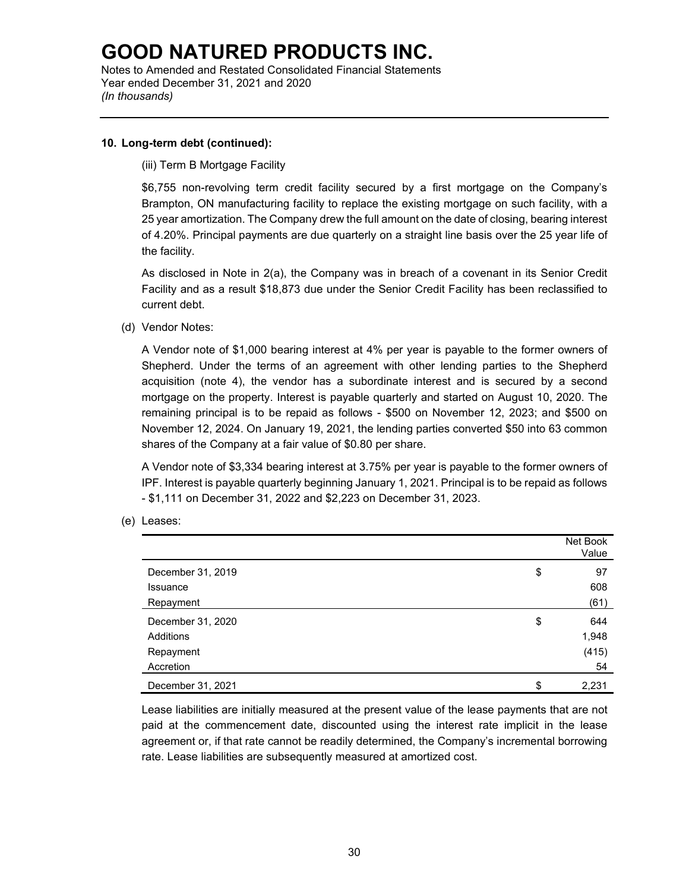Notes to Amended and Restated Consolidated Financial Statements Year ended December 31, 2021 and 2020 *(In thousands)*

#### **10. Long-term debt (continued):**

(iii) Term B Mortgage Facility

\$6,755 non-revolving term credit facility secured by a first mortgage on the Company's Brampton, ON manufacturing facility to replace the existing mortgage on such facility, with a 25 year amortization. The Company drew the full amount on the date of closing, bearing interest of 4.20%. Principal payments are due quarterly on a straight line basis over the 25 year life of the facility.

As disclosed in Note in 2(a), the Company was in breach of a covenant in its Senior Credit Facility and as a result \$18,873 due under the Senior Credit Facility has been reclassified to current debt.

(d) Vendor Notes:

A Vendor note of \$1,000 bearing interest at 4% per year is payable to the former owners of Shepherd. Under the terms of an agreement with other lending parties to the Shepherd acquisition (note 4), the vendor has a subordinate interest and is secured by a second mortgage on the property. Interest is payable quarterly and started on August 10, 2020. The remaining principal is to be repaid as follows - \$500 on November 12, 2023; and \$500 on November 12, 2024. On January 19, 2021, the lending parties converted \$50 into 63 common shares of the Company at a fair value of \$0.80 per share.

A Vendor note of \$3,334 bearing interest at 3.75% per year is payable to the former owners of IPF. Interest is payable quarterly beginning January 1, 2021. Principal is to be repaid as follows - \$1,111 on December 31, 2022 and \$2,223 on December 31, 2023.

(e) Leases:

|                   | Net Book<br>Value |
|-------------------|-------------------|
| December 31, 2019 | \$<br>97          |
| <b>Issuance</b>   | 608               |
| Repayment         | (61)              |
| December 31, 2020 | \$<br>644         |
| Additions         | 1,948             |
| Repayment         | (415)             |
| Accretion         | 54                |
| December 31, 2021 | \$<br>2,231       |

Lease liabilities are initially measured at the present value of the lease payments that are not paid at the commencement date, discounted using the interest rate implicit in the lease agreement or, if that rate cannot be readily determined, the Company's incremental borrowing rate. Lease liabilities are subsequently measured at amortized cost.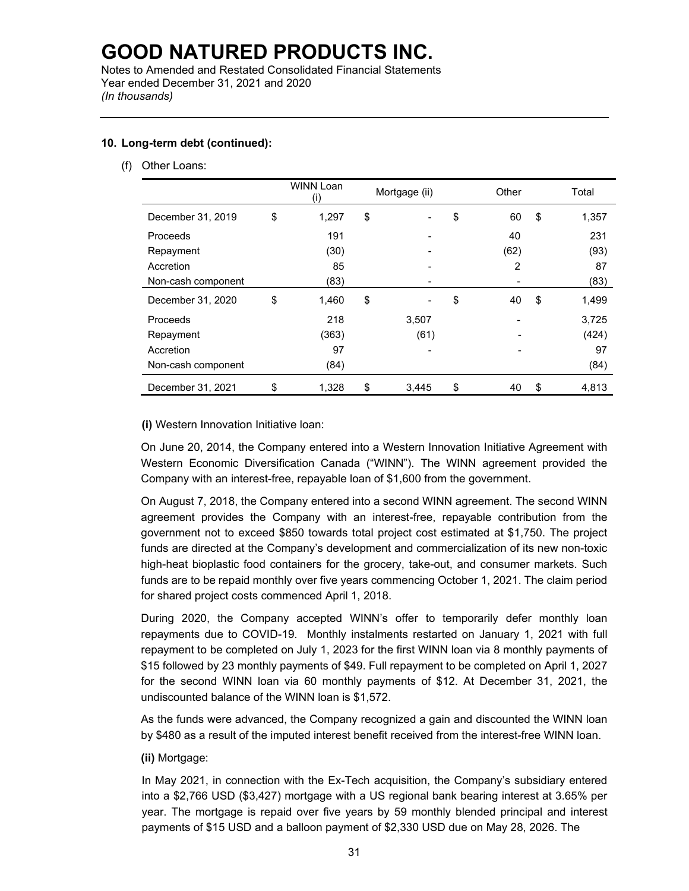#### **10. Long-term debt (continued):**

(f) Other Loans:

|                    | <b>WINN Loan</b><br>(i) | Mortgage (ii) | Other    | Total       |
|--------------------|-------------------------|---------------|----------|-------------|
| December 31, 2019  | \$<br>1,297             | \$            | \$<br>60 | \$<br>1,357 |
| Proceeds           | 191                     |               | 40       | 231         |
| Repayment          | (30)                    |               | (62)     | (93)        |
| Accretion          | 85                      |               | 2        | 87          |
| Non-cash component | (83)                    |               |          | (83)        |
| December 31, 2020  | \$<br>1,460             | \$            | \$<br>40 | \$<br>1,499 |
| Proceeds           | 218                     | 3,507         |          | 3,725       |
| Repayment          | (363)                   | (61)          |          | (424)       |
| Accretion          | 97                      |               |          | 97          |
| Non-cash component | (84)                    |               |          | (84)        |
| December 31, 2021  | \$<br>1,328             | \$<br>3,445   | \$<br>40 | \$<br>4,813 |

#### **(i)** Western Innovation Initiative loan:

On June 20, 2014, the Company entered into a Western Innovation Initiative Agreement with Western Economic Diversification Canada ("WINN"). The WINN agreement provided the Company with an interest-free, repayable loan of \$1,600 from the government.

On August 7, 2018, the Company entered into a second WINN agreement. The second WINN agreement provides the Company with an interest-free, repayable contribution from the government not to exceed \$850 towards total project cost estimated at \$1,750. The project funds are directed at the Company's development and commercialization of its new non-toxic high-heat bioplastic food containers for the grocery, take-out, and consumer markets. Such funds are to be repaid monthly over five years commencing October 1, 2021. The claim period for shared project costs commenced April 1, 2018.

During 2020, the Company accepted WINN's offer to temporarily defer monthly loan repayments due to COVID-19. Monthly instalments restarted on January 1, 2021 with full repayment to be completed on July 1, 2023 for the first WINN loan via 8 monthly payments of \$15 followed by 23 monthly payments of \$49. Full repayment to be completed on April 1, 2027 for the second WINN loan via 60 monthly payments of \$12. At December 31, 2021, the undiscounted balance of the WINN loan is \$1,572.

As the funds were advanced, the Company recognized a gain and discounted the WINN loan by \$480 as a result of the imputed interest benefit received from the interest-free WINN loan.

#### **(ii)** Mortgage:

In May 2021, in connection with the Ex-Tech acquisition, the Company's subsidiary entered into a \$2,766 USD (\$3,427) mortgage with a US regional bank bearing interest at 3.65% per year. The mortgage is repaid over five years by 59 monthly blended principal and interest payments of \$15 USD and a balloon payment of \$2,330 USD due on May 28, 2026. The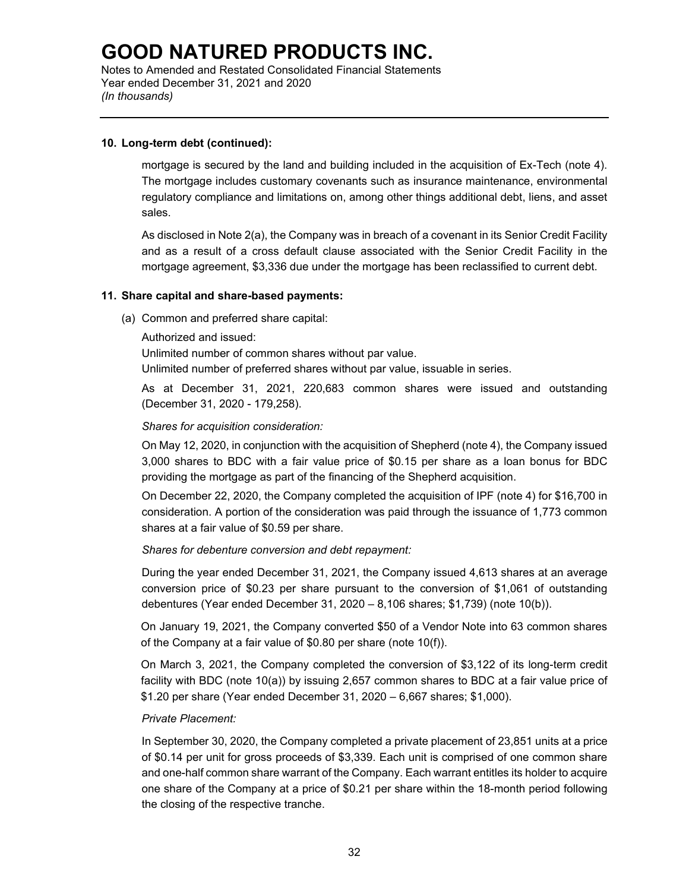#### **10. Long-term debt (continued):**

mortgage is secured by the land and building included in the acquisition of Ex-Tech (note 4). The mortgage includes customary covenants such as insurance maintenance, environmental regulatory compliance and limitations on, among other things additional debt, liens, and asset sales.

As disclosed in Note 2(a), the Company was in breach of a covenant in its Senior Credit Facility and as a result of a cross default clause associated with the Senior Credit Facility in the mortgage agreement, \$3,336 due under the mortgage has been reclassified to current debt.

#### **11. Share capital and share-based payments:**

(a) Common and preferred share capital:

Authorized and issued:

Unlimited number of common shares without par value.

Unlimited number of preferred shares without par value, issuable in series.

As at December 31, 2021, 220,683 common shares were issued and outstanding (December 31, 2020 - 179,258).

#### *Shares for acquisition consideration:*

On May 12, 2020, in conjunction with the acquisition of Shepherd (note 4), the Company issued 3,000 shares to BDC with a fair value price of \$0.15 per share as a loan bonus for BDC providing the mortgage as part of the financing of the Shepherd acquisition.

On December 22, 2020, the Company completed the acquisition of IPF (note 4) for \$16,700 in consideration. A portion of the consideration was paid through the issuance of 1,773 common shares at a fair value of \$0.59 per share.

#### *Shares for debenture conversion and debt repayment:*

During the year ended December 31, 2021, the Company issued 4,613 shares at an average conversion price of \$0.23 per share pursuant to the conversion of \$1,061 of outstanding debentures (Year ended December 31, 2020 – 8,106 shares; \$1,739) (note 10(b)).

On January 19, 2021, the Company converted \$50 of a Vendor Note into 63 common shares of the Company at a fair value of \$0.80 per share (note 10(f)).

On March 3, 2021, the Company completed the conversion of \$3,122 of its long-term credit facility with BDC (note 10(a)) by issuing 2,657 common shares to BDC at a fair value price of \$1.20 per share (Year ended December 31, 2020 – 6,667 shares; \$1,000).

#### *Private Placement:*

In September 30, 2020, the Company completed a private placement of 23,851 units at a price of \$0.14 per unit for gross proceeds of \$3,339. Each unit is comprised of one common share and one-half common share warrant of the Company. Each warrant entitles its holder to acquire one share of the Company at a price of \$0.21 per share within the 18-month period following the closing of the respective tranche.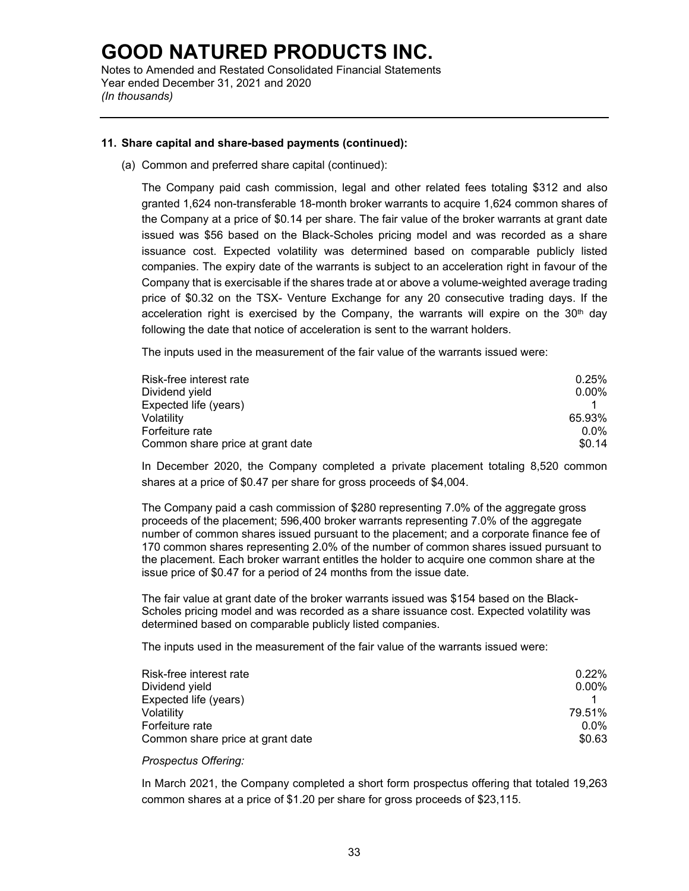Notes to Amended and Restated Consolidated Financial Statements Year ended December 31, 2021 and 2020 *(In thousands)*

#### **11. Share capital and share-based payments (continued):**

(a) Common and preferred share capital (continued):

The Company paid cash commission, legal and other related fees totaling \$312 and also granted 1,624 non-transferable 18-month broker warrants to acquire 1,624 common shares of the Company at a price of \$0.14 per share. The fair value of the broker warrants at grant date issued was \$56 based on the Black-Scholes pricing model and was recorded as a share issuance cost. Expected volatility was determined based on comparable publicly listed companies. The expiry date of the warrants is subject to an acceleration right in favour of the Company that is exercisable if the shares trade at or above a volume-weighted average trading price of \$0.32 on the TSX- Venture Exchange for any 20 consecutive trading days. If the acceleration right is exercised by the Company, the warrants will expire on the  $30<sup>th</sup>$  day following the date that notice of acceleration is sent to the warrant holders.

The inputs used in the measurement of the fair value of the warrants issued were:

| Risk-free interest rate          | 0.25%    |
|----------------------------------|----------|
| Dividend yield                   | $0.00\%$ |
| Expected life (years)            |          |
| Volatility                       | 65.93%   |
| Forfeiture rate                  | $0.0\%$  |
| Common share price at grant date | \$0.14   |

In December 2020, the Company completed a private placement totaling 8,520 common shares at a price of \$0.47 per share for gross proceeds of \$4,004.

The Company paid a cash commission of \$280 representing 7.0% of the aggregate gross proceeds of the placement; 596,400 broker warrants representing 7.0% of the aggregate number of common shares issued pursuant to the placement; and a corporate finance fee of 170 common shares representing 2.0% of the number of common shares issued pursuant to the placement. Each broker warrant entitles the holder to acquire one common share at the issue price of \$0.47 for a period of 24 months from the issue date.

The fair value at grant date of the broker warrants issued was \$154 based on the Black-Scholes pricing model and was recorded as a share issuance cost. Expected volatility was determined based on comparable publicly listed companies.

The inputs used in the measurement of the fair value of the warrants issued were:

| Risk-free interest rate          | $0.22\%$ |
|----------------------------------|----------|
| Dividend yield                   | $0.00\%$ |
| Expected life (years)            |          |
| Volatility                       | 79.51%   |
| Forfeiture rate                  | $0.0\%$  |
| Common share price at grant date | \$0.63   |

#### *Prospectus Offering:*

In March 2021, the Company completed a short form prospectus offering that totaled 19,263 common shares at a price of \$1.20 per share for gross proceeds of \$23,115.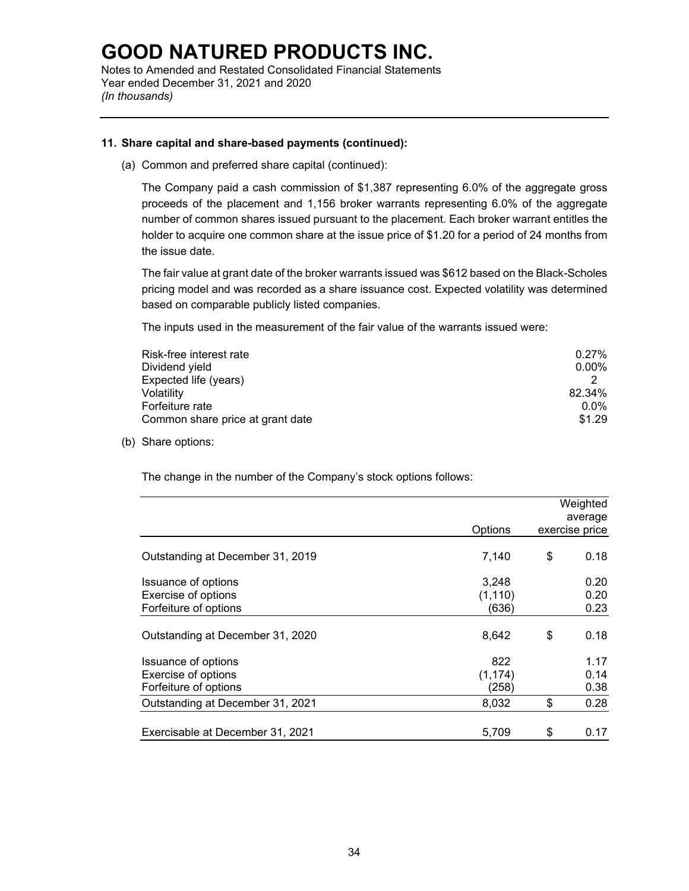Notes to Amended and Restated Consolidated Financial Statements Year ended December 31, 2021 and 2020 *(In thousands)*

#### **11. Share capital and share-based payments (continued):**

(a) Common and preferred share capital (continued):

The Company paid a cash commission of \$1,387 representing 6.0% of the aggregate gross proceeds of the placement and 1,156 broker warrants representing 6.0% of the aggregate number of common shares issued pursuant to the placement. Each broker warrant entitles the holder to acquire one common share at the issue price of \$1.20 for a period of 24 months from the issue date.

The fair value at grant date of the broker warrants issued was \$612 based on the Black-Scholes pricing model and was recorded as a share issuance cost. Expected volatility was determined based on comparable publicly listed companies.

The inputs used in the measurement of the fair value of the warrants issued were:

| Risk-free interest rate          | 0.27%    |
|----------------------------------|----------|
| Dividend yield                   | $0.00\%$ |
| Expected life (years)            |          |
| Volatility                       | 82.34%   |
| Forfeiture rate                  | $0.0\%$  |
| Common share price at grant date | \$1.29   |

(b) Share options:

The change in the number of the Company's stock options follows:

|                                  |          |    | Weighted       |
|----------------------------------|----------|----|----------------|
|                                  |          |    | average        |
|                                  | Options  |    | exercise price |
| Outstanding at December 31, 2019 | 7,140    | \$ | 0.18           |
| Issuance of options              | 3,248    |    | 0.20           |
| Exercise of options              | (1, 110) |    | 0.20           |
| Forfeiture of options            | (636)    |    | 0.23           |
| Outstanding at December 31, 2020 | 8,642    | \$ | 0.18           |
| Issuance of options              | 822      |    | 1.17           |
| Exercise of options              | (1, 174) |    | 0.14           |
| Forfeiture of options            | (258)    |    | 0.38           |
| Outstanding at December 31, 2021 | 8,032    | \$ | 0.28           |
| Exercisable at December 31, 2021 | 5,709    | S  | 0.17           |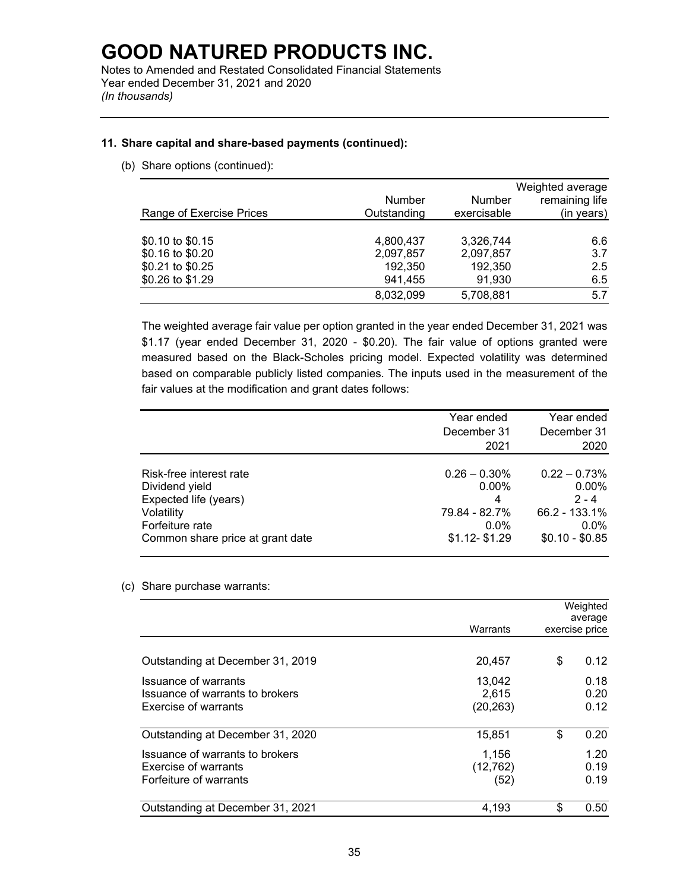#### **11. Share capital and share-based payments (continued):**

(b) Share options (continued):

|                          |             |             | Weighted average |
|--------------------------|-------------|-------------|------------------|
|                          | Number      | Number      | remaining life   |
| Range of Exercise Prices | Outstanding | exercisable | (in years)       |
|                          |             |             |                  |
| \$0.10 to \$0.15         | 4,800,437   | 3,326,744   | 6.6              |
| \$0.16 to \$0.20         | 2,097,857   | 2,097,857   | 3.7              |
| \$0.21 to \$0.25         | 192,350     | 192,350     | 2.5              |
| \$0.26 to \$1.29         | 941,455     | 91,930      | 6.5              |
|                          | 8,032,099   | 5,708,881   | 5.7              |

The weighted average fair value per option granted in the year ended December 31, 2021 was \$1.17 (year ended December 31, 2020 - \$0.20). The fair value of options granted were measured based on the Black-Scholes pricing model. Expected volatility was determined based on comparable publicly listed companies. The inputs used in the measurement of the fair values at the modification and grant dates follows:

|                                                                                                                                         | Year ended                                                                      | Year ended                                                                           |
|-----------------------------------------------------------------------------------------------------------------------------------------|---------------------------------------------------------------------------------|--------------------------------------------------------------------------------------|
|                                                                                                                                         | December 31<br>2021                                                             | December 31<br>2020                                                                  |
| Risk-free interest rate<br>Dividend yield<br>Expected life (years)<br>Volatility<br>Forfeiture rate<br>Common share price at grant date | $0.26 - 0.30\%$<br>$0.00\%$<br>4<br>79.84 - 82.7%<br>$0.0\%$<br>$$1.12 - $1.29$ | $0.22 - 0.73%$<br>$0.00\%$<br>$2 - 4$<br>66.2 - 133.1%<br>$0.0\%$<br>$$0.10 - $0.85$ |

#### (c) Share purchase warrants:

|                                                                                   | Warrants                     | Weighted<br>average<br>exercise price |
|-----------------------------------------------------------------------------------|------------------------------|---------------------------------------|
| Outstanding at December 31, 2019                                                  | 20,457                       | \$<br>0.12                            |
| Issuance of warrants<br>Issuance of warrants to brokers<br>Exercise of warrants   | 13,042<br>2,615<br>(20, 263) | 0.18<br>0.20<br>0.12                  |
| Outstanding at December 31, 2020                                                  | 15,851                       | \$<br>0.20                            |
| Issuance of warrants to brokers<br>Exercise of warrants<br>Forfeiture of warrants | 1,156<br>(12, 762)<br>(52)   | 1.20<br>0.19<br>0.19                  |
| Outstanding at December 31, 2021                                                  | 4,193                        | \$<br>0.50                            |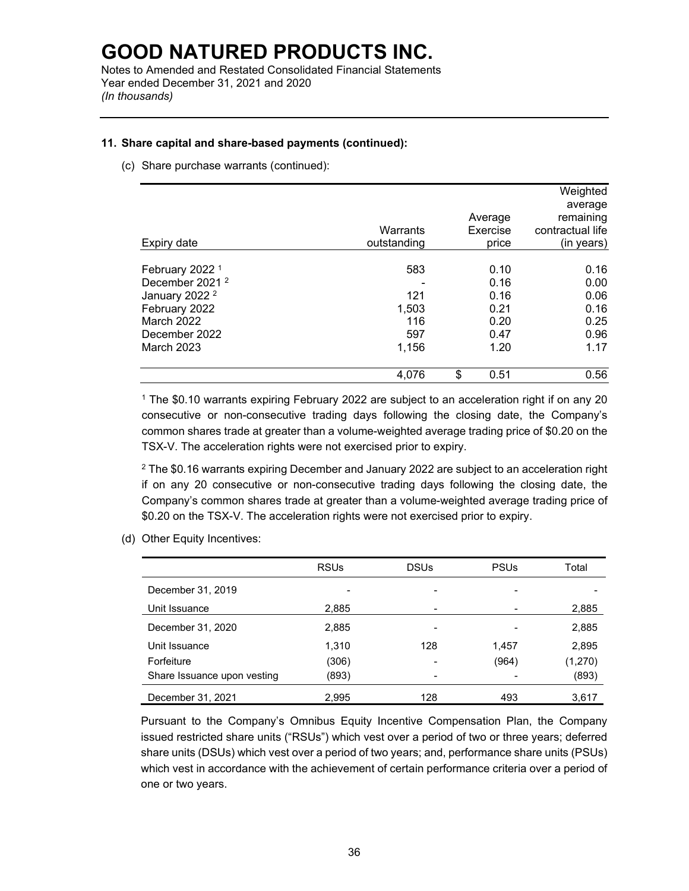#### **11. Share capital and share-based payments (continued):**

(c) Share purchase warrants (continued):

| Expiry date                | Warrants<br>outstanding | Average<br>Exercise<br>price | Weighted<br>average<br>remaining<br>contractual life<br>(in years) |
|----------------------------|-------------------------|------------------------------|--------------------------------------------------------------------|
| February 2022 <sup>1</sup> | 583                     | 0.10                         | 0.16                                                               |
| December 2021 <sup>2</sup> |                         | 0.16                         | 0.00                                                               |
| January 2022 <sup>2</sup>  | 121                     | 0.16                         | 0.06                                                               |
| February 2022              | 1,503                   | 0.21                         | 0.16                                                               |
| March 2022                 | 116                     | 0.20                         | 0.25                                                               |
| December 2022              | 597                     | 0.47                         | 0.96                                                               |
| <b>March 2023</b>          | 1,156                   | 1.20                         | 1.17                                                               |
|                            | 4,076                   | \$<br>0.51                   | 0.56                                                               |

<sup>1</sup> The \$0.10 warrants expiring February 2022 are subject to an acceleration right if on any 20 consecutive or non-consecutive trading days following the closing date, the Company's common shares trade at greater than a volume-weighted average trading price of \$0.20 on the TSX-V. The acceleration rights were not exercised prior to expiry.

<sup>2</sup> The \$0.16 warrants expiring December and January 2022 are subject to an acceleration right if on any 20 consecutive or non-consecutive trading days following the closing date, the Company's common shares trade at greater than a volume-weighted average trading price of \$0.20 on the TSX-V. The acceleration rights were not exercised prior to expiry.

(d) Other Equity Incentives:

|                             | <b>RSUs</b>                  | <b>DSUs</b> | <b>PSUs</b> | Total   |
|-----------------------------|------------------------------|-------------|-------------|---------|
| December 31, 2019           | $\qquad \qquad \blacksquare$ | -           |             |         |
| Unit Issuance               | 2,885                        | -           |             | 2,885   |
| December 31, 2020           | 2,885                        |             |             | 2,885   |
| Unit Issuance               | 1,310                        | 128         | 1,457       | 2,895   |
| Forfeiture                  | (306)                        |             | (964)       | (1,270) |
| Share Issuance upon vesting | (893)                        |             |             | (893)   |
| December 31, 2021           | 2,995                        | 128         | 493         | 3,617   |

Pursuant to the Company's Omnibus Equity Incentive Compensation Plan, the Company issued restricted share units ("RSUs") which vest over a period of two or three years; deferred share units (DSUs) which vest over a period of two years; and, performance share units (PSUs) which vest in accordance with the achievement of certain performance criteria over a period of one or two years.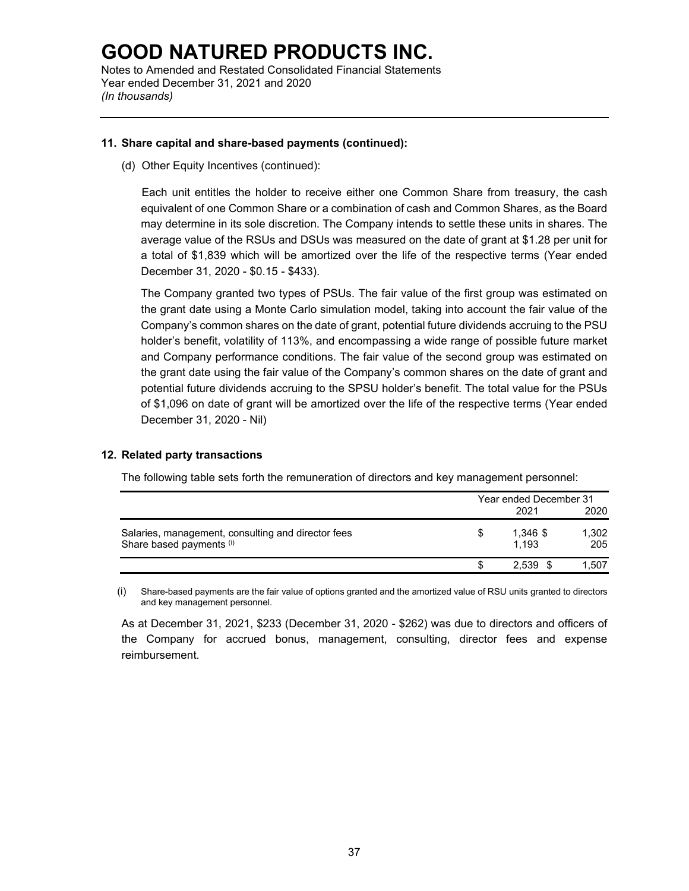Notes to Amended and Restated Consolidated Financial Statements Year ended December 31, 2021 and 2020 *(In thousands)*

#### **11. Share capital and share-based payments (continued):**

(d) Other Equity Incentives (continued):

Each unit entitles the holder to receive either one Common Share from treasury, the cash equivalent of one Common Share or a combination of cash and Common Shares, as the Board may determine in its sole discretion. The Company intends to settle these units in shares. The average value of the RSUs and DSUs was measured on the date of grant at \$1.28 per unit for a total of \$1,839 which will be amortized over the life of the respective terms (Year ended December 31, 2020 - \$0.15 - \$433).

The Company granted two types of PSUs. The fair value of the first group was estimated on the grant date using a Monte Carlo simulation model, taking into account the fair value of the Company's common shares on the date of grant, potential future dividends accruing to the PSU holder's benefit, volatility of 113%, and encompassing a wide range of possible future market and Company performance conditions. The fair value of the second group was estimated on the grant date using the fair value of the Company's common shares on the date of grant and potential future dividends accruing to the SPSU holder's benefit. The total value for the PSUs of \$1,096 on date of grant will be amortized over the life of the respective terms (Year ended December 31, 2020 - Nil)

#### **12. Related party transactions**

The following table sets forth the remuneration of directors and key management personnel:

|                                                    | Year ended December 31 |          |       |  |
|----------------------------------------------------|------------------------|----------|-------|--|
|                                                    |                        | 2021     | 2020  |  |
| Salaries, management, consulting and director fees |                        | 1,346 \$ | 1,302 |  |
| Share based payments (i)                           |                        | 1.193    | 205   |  |
|                                                    |                        | 2.539    | 1.507 |  |

(i) Share-based payments are the fair value of options granted and the amortized value of RSU units granted to directors and key management personnel.

As at December 31, 2021, \$233 (December 31, 2020 - \$262) was due to directors and officers of the Company for accrued bonus, management, consulting, director fees and expense reimbursement.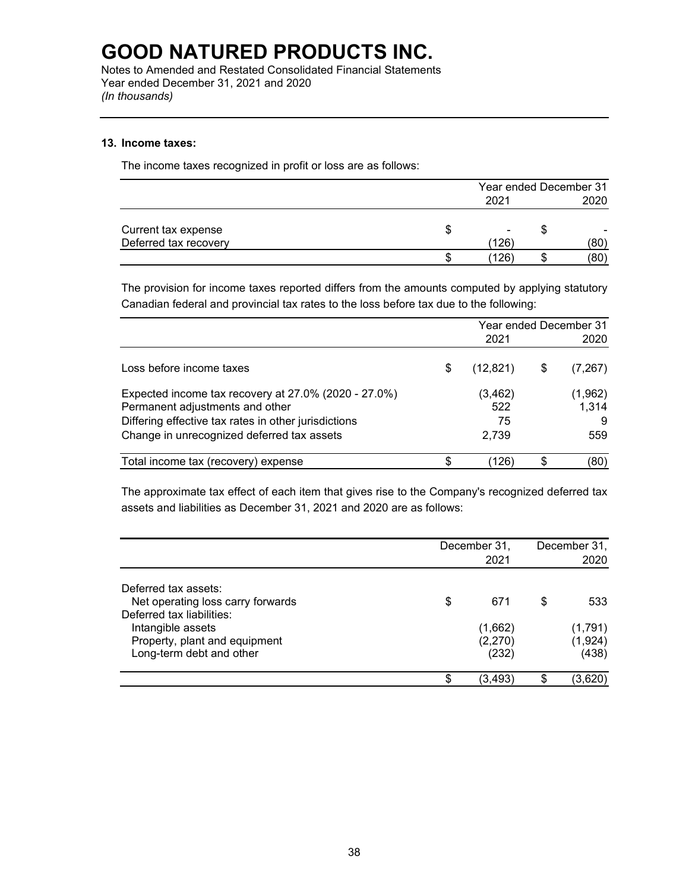#### **13. Income taxes:**

The income taxes recognized in profit or loss are as follows:

|                       | Year ended December 31         |  |      |  |
|-----------------------|--------------------------------|--|------|--|
|                       | 2021                           |  | 2020 |  |
| Current tax expense   | \$<br>$\overline{\phantom{0}}$ |  |      |  |
| Deferred tax recovery | (126)                          |  | (80) |  |
|                       | (126)                          |  | (80) |  |

The provision for income taxes reported differs from the amounts computed by applying statutory Canadian federal and provincial tax rates to the loss before tax due to the following:

|                                                                                                                                                                                               |    | 2021                           | Year ended December 31<br>2020 |
|-----------------------------------------------------------------------------------------------------------------------------------------------------------------------------------------------|----|--------------------------------|--------------------------------|
|                                                                                                                                                                                               |    |                                |                                |
| Loss before income taxes                                                                                                                                                                      | \$ | (12, 821)                      | \$<br>(7,267)                  |
| Expected income tax recovery at 27.0% (2020 - 27.0%)<br>Permanent adjustments and other<br>Differing effective tax rates in other jurisdictions<br>Change in unrecognized deferred tax assets |    | (3, 462)<br>522<br>75<br>2,739 | (1,962)<br>1,314<br>9<br>559   |
| Total income tax (recovery) expense                                                                                                                                                           | S  | $^{\prime}126^{\prime}$        | (80)                           |

The approximate tax effect of each item that gives rise to the Company's recognized deferred tax assets and liabilities as December 31, 2021 and 2020 are as follows:

| Net operating loss carry forwards<br>Intangible assets<br>Property, plant and equipment | December 31,<br>2021        |    |                              |  |  |
|-----------------------------------------------------------------------------------------|-----------------------------|----|------------------------------|--|--|
| Deferred tax assets:<br>Deferred tax liabilities:                                       | \$<br>671                   | S  | 533                          |  |  |
| Long-term debt and other                                                                | (1,662)<br>(2,270)<br>(232) |    | (1,791)<br>(1, 924)<br>(438) |  |  |
|                                                                                         | \$<br>(3, 493)              | \$ | (3,620                       |  |  |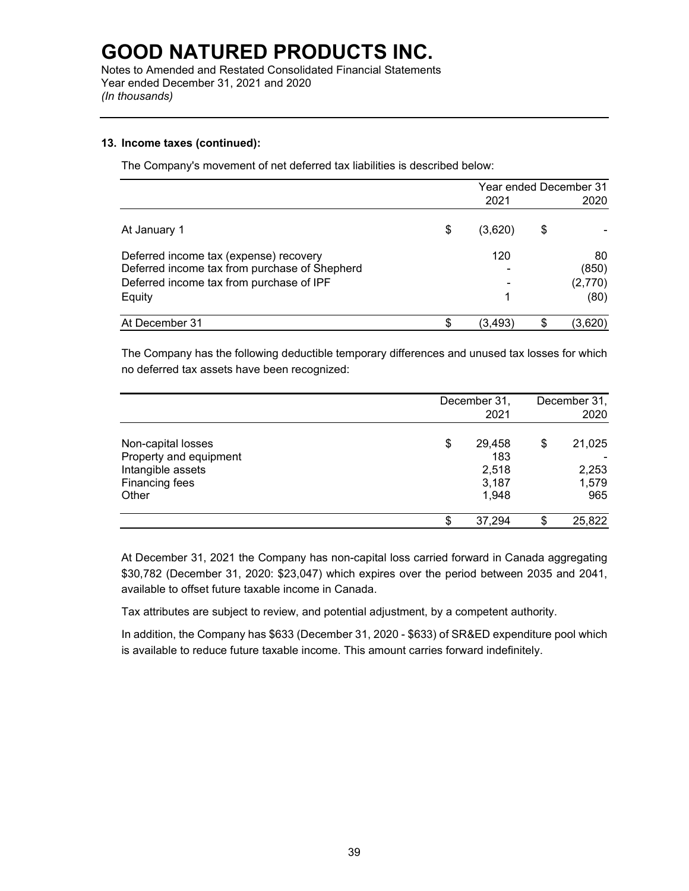#### **13. Income taxes (continued):**

The Company's movement of net deferred tax liabilities is described below:

|                                               | 2021          | Year ended December 31<br>2020 |
|-----------------------------------------------|---------------|--------------------------------|
|                                               |               |                                |
| At January 1                                  | \$<br>(3,620) | \$                             |
| Deferred income tax (expense) recovery        | 120           | 80                             |
| Deferred income tax from purchase of Shepherd |               | (850)                          |
| Deferred income tax from purchase of IPF      |               | (2,770)                        |
| Equity                                        |               | (80)                           |
| At December 31                                | \$<br>(3,493) | (3,620                         |

The Company has the following deductible temporary differences and unused tax losses for which no deferred tax assets have been recognized:

|                        |    | December 31, |    |        |  |
|------------------------|----|--------------|----|--------|--|
|                        |    | 2021         |    | 2020   |  |
| Non-capital losses     | \$ | 29,458       | \$ | 21,025 |  |
| Property and equipment |    | 183          |    |        |  |
| Intangible assets      |    | 2,518        |    | 2,253  |  |
| Financing fees         |    | 3,187        |    | 1,579  |  |
| Other                  |    | 1,948        |    | 965    |  |
|                        | S. | 37,294       | ß. | 25,822 |  |

At December 31, 2021 the Company has non-capital loss carried forward in Canada aggregating \$30,782 (December 31, 2020: \$23,047) which expires over the period between 2035 and 2041, available to offset future taxable income in Canada.

Tax attributes are subject to review, and potential adjustment, by a competent authority.

In addition, the Company has \$633 (December 31, 2020 - \$633) of SR&ED expenditure pool which is available to reduce future taxable income. This amount carries forward indefinitely.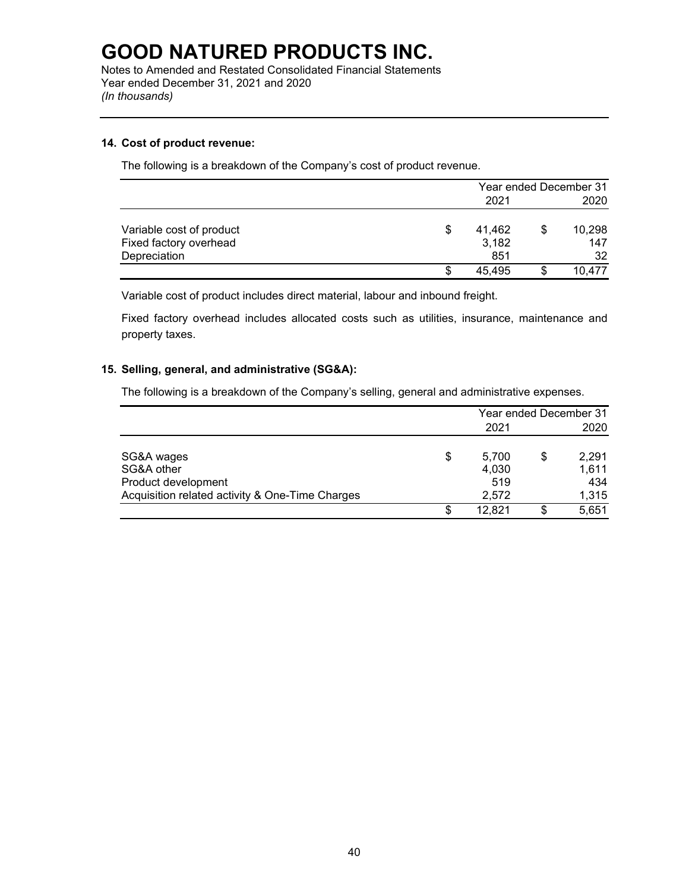#### **14. Cost of product revenue:**

The following is a breakdown of the Company's cost of product revenue.

|                                                    |    |        |   | Year ended December 31 |
|----------------------------------------------------|----|--------|---|------------------------|
|                                                    |    | 2021   |   | 2020                   |
|                                                    | \$ | 41,462 | S | 10,298                 |
| Variable cost of product<br>Fixed factory overhead |    | 3,182  |   | 147                    |
| Depreciation                                       |    | 851    |   | 32                     |
|                                                    | S  | 45.495 |   | 10,477                 |

Variable cost of product includes direct material, labour and inbound freight.

Fixed factory overhead includes allocated costs such as utilities, insurance, maintenance and property taxes.

#### **15. Selling, general, and administrative (SG&A):**

The following is a breakdown of the Company's selling, general and administrative expenses.

|                                                 |    |        |    | Year ended December 31 |
|-------------------------------------------------|----|--------|----|------------------------|
|                                                 |    | 2021   |    | 2020                   |
|                                                 |    |        |    |                        |
| SG&A wages                                      | \$ | 5,700  | \$ | 2,291                  |
| SG&A other                                      |    | 4,030  |    | 1,611                  |
| Product development                             |    | 519    |    | 434                    |
| Acquisition related activity & One-Time Charges |    | 2.572  |    | 1,315                  |
|                                                 | S  | 12.821 | S  | 5,651                  |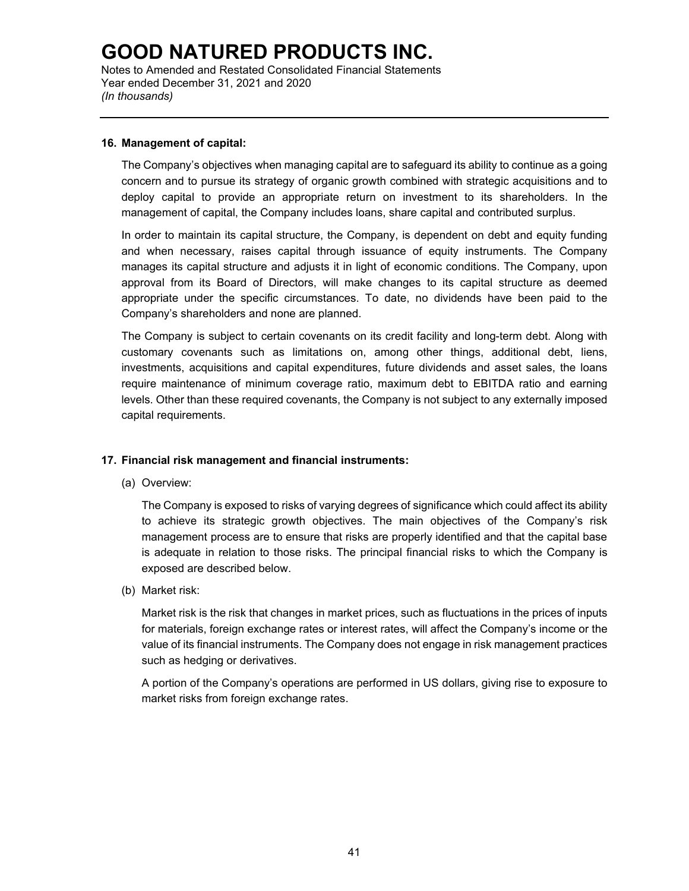### **GOOD NATURED PRODUCTS INC.** Notes to Amended and Restated Consolidated Financial Statements

Year ended December 31, 2021 and 2020 *(In thousands)*

#### **16. Management of capital:**

The Company's objectives when managing capital are to safeguard its ability to continue as a going concern and to pursue its strategy of organic growth combined with strategic acquisitions and to deploy capital to provide an appropriate return on investment to its shareholders. In the management of capital, the Company includes loans, share capital and contributed surplus.

In order to maintain its capital structure, the Company, is dependent on debt and equity funding and when necessary, raises capital through issuance of equity instruments. The Company manages its capital structure and adjusts it in light of economic conditions. The Company, upon approval from its Board of Directors, will make changes to its capital structure as deemed appropriate under the specific circumstances. To date, no dividends have been paid to the Company's shareholders and none are planned.

The Company is subject to certain covenants on its credit facility and long-term debt. Along with customary covenants such as limitations on, among other things, additional debt, liens, investments, acquisitions and capital expenditures, future dividends and asset sales, the loans require maintenance of minimum coverage ratio, maximum debt to EBITDA ratio and earning levels. Other than these required covenants, the Company is not subject to any externally imposed capital requirements.

#### **17. Financial risk management and financial instruments:**

(a) Overview:

The Company is exposed to risks of varying degrees of significance which could affect its ability to achieve its strategic growth objectives. The main objectives of the Company's risk management process are to ensure that risks are properly identified and that the capital base is adequate in relation to those risks. The principal financial risks to which the Company is exposed are described below.

(b) Market risk:

Market risk is the risk that changes in market prices, such as fluctuations in the prices of inputs for materials, foreign exchange rates or interest rates, will affect the Company's income or the value of its financial instruments. The Company does not engage in risk management practices such as hedging or derivatives.

A portion of the Company's operations are performed in US dollars, giving rise to exposure to market risks from foreign exchange rates.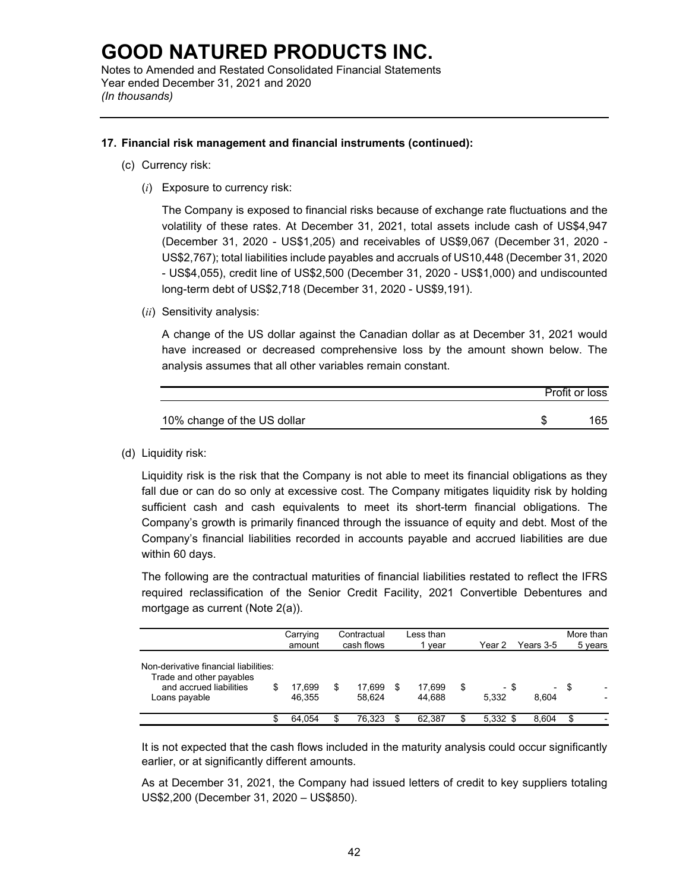Notes to Amended and Restated Consolidated Financial Statements Year ended December 31, 2021 and 2020 *(In thousands)*

#### **17. Financial risk management and financial instruments (continued):**

- (c) Currency risk:
	- (*i*) Exposure to currency risk:

The Company is exposed to financial risks because of exchange rate fluctuations and the volatility of these rates. At December 31, 2021, total assets include cash of US\$4,947 (December 31, 2020 - US\$1,205) and receivables of US\$9,067 (December 31, 2020 - US\$2,767); total liabilities include payables and accruals of US10,448 (December 31, 2020 - US\$4,055), credit line of US\$2,500 (December 31, 2020 - US\$1,000) and undiscounted long-term debt of US\$2,718 (December 31, 2020 - US\$9,191).

(*ii*) Sensitivity analysis:

A change of the US dollar against the Canadian dollar as at December 31, 2021 would have increased or decreased comprehensive loss by the amount shown below. The analysis assumes that all other variables remain constant.

|                             | Profit or loss |
|-----------------------------|----------------|
| 10% change of the US dollar | 165            |

(d) Liquidity risk:

Liquidity risk is the risk that the Company is not able to meet its financial obligations as they fall due or can do so only at excessive cost. The Company mitigates liquidity risk by holding sufficient cash and cash equivalents to meet its short-term financial obligations. The Company's growth is primarily financed through the issuance of equity and debt. Most of the Company's financial liabilities recorded in accounts payable and accrued liabilities are due within 60 days.

The following are the contractual maturities of financial liabilities restated to reflect the IFRS required reclassification of the Senior Credit Facility, 2021 Convertible Debentures and mortgage as current (Note 2(a)).

|                                                                                                               |   | Carrying<br>amount |   | Contractual<br>cash flows | Less than<br>1 vear |   | Year 2        | Years 3-5                         |     | More than<br>5 years |
|---------------------------------------------------------------------------------------------------------------|---|--------------------|---|---------------------------|---------------------|---|---------------|-----------------------------------|-----|----------------------|
| Non-derivative financial liabilities:<br>Trade and other payables<br>and accrued liabilities<br>Loans payable | S | 17.699<br>46.355   | S | 17.699<br>58.624          | 17.699<br>44.688    | S | - \$<br>5.332 | $\overline{\phantom{0}}$<br>8.604 | -\$ |                      |
|                                                                                                               |   | 64.054             |   | 76.323                    | 62.387              |   | $5.332$ \$    | 8.604                             | \$  |                      |

It is not expected that the cash flows included in the maturity analysis could occur significantly earlier, or at significantly different amounts.

As at December 31, 2021, the Company had issued letters of credit to key suppliers totaling US\$2,200 (December 31, 2020 – US\$850).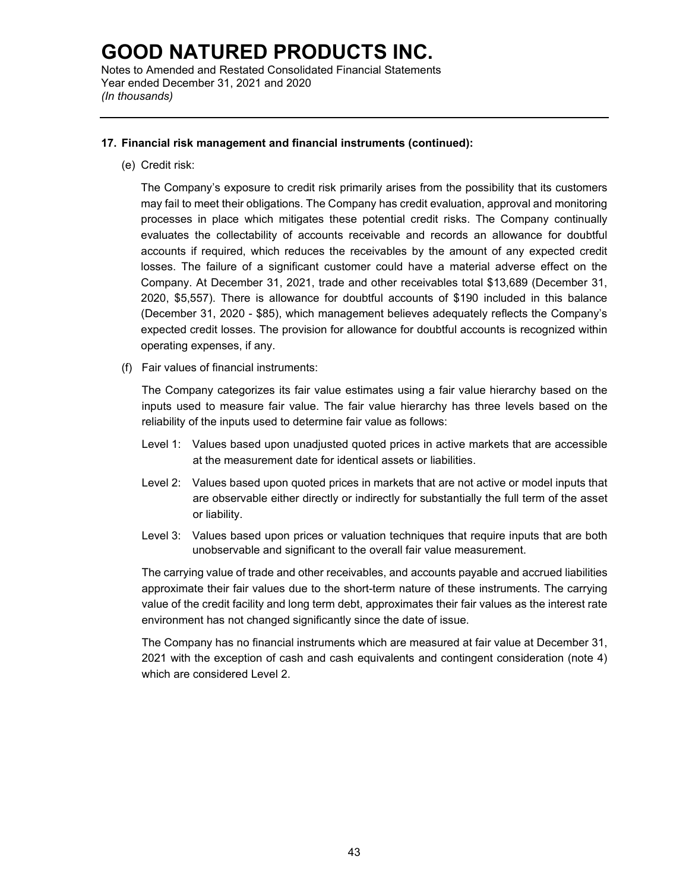Notes to Amended and Restated Consolidated Financial Statements Year ended December 31, 2021 and 2020 *(In thousands)*

#### **17. Financial risk management and financial instruments (continued):**

(e) Credit risk:

The Company's exposure to credit risk primarily arises from the possibility that its customers may fail to meet their obligations. The Company has credit evaluation, approval and monitoring processes in place which mitigates these potential credit risks. The Company continually evaluates the collectability of accounts receivable and records an allowance for doubtful accounts if required, which reduces the receivables by the amount of any expected credit losses. The failure of a significant customer could have a material adverse effect on the Company. At December 31, 2021, trade and other receivables total \$13,689 (December 31, 2020, \$5,557). There is allowance for doubtful accounts of \$190 included in this balance (December 31, 2020 - \$85), which management believes adequately reflects the Company's expected credit losses. The provision for allowance for doubtful accounts is recognized within operating expenses, if any.

(f) Fair values of financial instruments:

The Company categorizes its fair value estimates using a fair value hierarchy based on the inputs used to measure fair value. The fair value hierarchy has three levels based on the reliability of the inputs used to determine fair value as follows:

- Level 1: Values based upon unadjusted quoted prices in active markets that are accessible at the measurement date for identical assets or liabilities.
- Level 2: Values based upon quoted prices in markets that are not active or model inputs that are observable either directly or indirectly for substantially the full term of the asset or liability.
- Level 3: Values based upon prices or valuation techniques that require inputs that are both unobservable and significant to the overall fair value measurement.

The carrying value of trade and other receivables, and accounts payable and accrued liabilities approximate their fair values due to the short-term nature of these instruments. The carrying value of the credit facility and long term debt, approximates their fair values as the interest rate environment has not changed significantly since the date of issue.

The Company has no financial instruments which are measured at fair value at December 31, 2021 with the exception of cash and cash equivalents and contingent consideration (note 4) which are considered Level 2.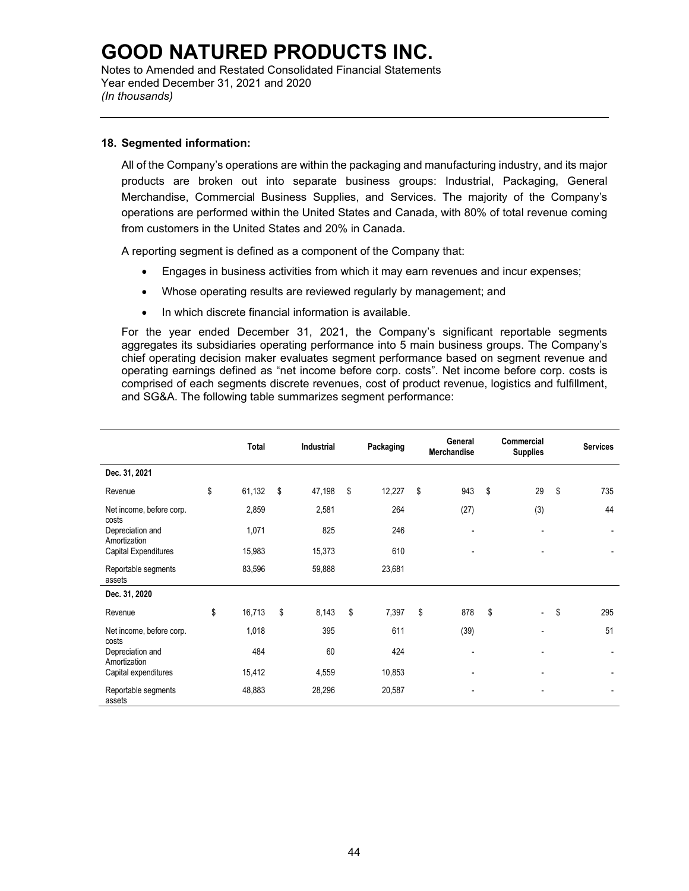#### **18. Segmented information:**

All of the Company's operations are within the packaging and manufacturing industry, and its major products are broken out into separate business groups: Industrial, Packaging, General Merchandise, Commercial Business Supplies, and Services. The majority of the Company's operations are performed within the United States and Canada, with 80% of total revenue coming from customers in the United States and 20% in Canada.

A reporting segment is defined as a component of the Company that:

- Engages in business activities from which it may earn revenues and incur expenses;
- Whose operating results are reviewed regularly by management; and
- In which discrete financial information is available.

For the year ended December 31, 2021, the Company's significant reportable segments aggregates its subsidiaries operating performance into 5 main business groups. The Company's chief operating decision maker evaluates segment performance based on segment revenue and operating earnings defined as "net income before corp. costs". Net income before corp. costs is comprised of each segments discrete revenues, cost of product revenue, logistics and fulfillment, and SG&A. The following table summarizes segment performance:

|                                           | <b>Total</b> | <b>Industrial</b> | Packaging    |    | General<br><b>Merchandise</b> | <b>Commercial</b><br><b>Supplies</b> | <b>Services</b> |
|-------------------------------------------|--------------|-------------------|--------------|----|-------------------------------|--------------------------------------|-----------------|
| Dec. 31, 2021                             |              |                   |              |    |                               |                                      |                 |
| Revenue                                   | \$<br>61,132 | \$<br>47,198      | \$<br>12,227 | Ŝ. | 943                           | \$<br>29                             | \$<br>735       |
| Net income, before corp.                  | 2,859        | 2,581             | 264          |    | (27)                          | (3)                                  | 44              |
| costs<br>Depreciation and<br>Amortization | 1,071        | 825               | 246          |    | $\overline{\phantom{a}}$      | $\overline{\phantom{a}}$             |                 |
| Capital Expenditures                      | 15,983       | 15,373            | 610          |    | $\overline{\phantom{0}}$      |                                      |                 |
| Reportable segments<br>assets             | 83,596       | 59,888            | 23,681       |    |                               |                                      |                 |
| Dec. 31, 2020                             |              |                   |              |    |                               |                                      |                 |
| Revenue                                   | \$<br>16,713 | \$<br>8,143       | \$<br>7,397  | \$ | 878                           | \$<br>$\overline{\phantom{a}}$       | \$<br>295       |
| Net income, before corp.<br>costs         | 1,018        | 395               | 611          |    | (39)                          | $\blacksquare$                       | 51              |
| Depreciation and<br>Amortization          | 484          | 60                | 424          |    | $\overline{\phantom{0}}$      |                                      |                 |
| Capital expenditures                      | 15,412       | 4,559             | 10,853       |    | $\overline{\phantom{0}}$      |                                      |                 |
| Reportable segments<br>assets             | 48,883       | 28,296            | 20,587       |    | $\overline{\phantom{0}}$      | $\overline{\phantom{a}}$             |                 |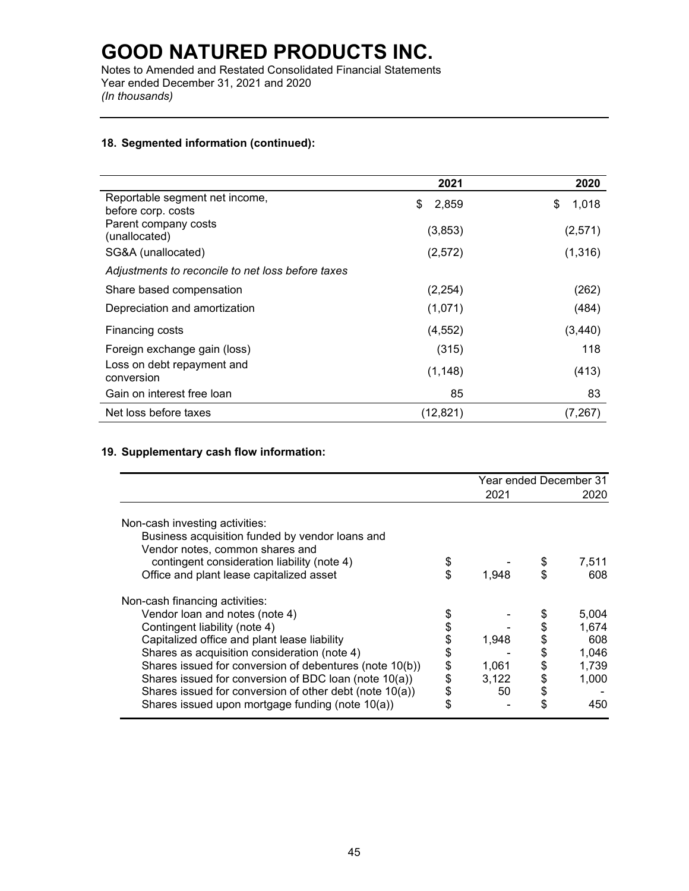#### **18. Segmented information (continued):**

|                                                      | 2021        | 2020        |
|------------------------------------------------------|-------------|-------------|
| Reportable segment net income,<br>before corp. costs | \$<br>2,859 | 1,018<br>\$ |
| Parent company costs<br>(unallocated)                | (3, 853)    | (2,571)     |
| SG&A (unallocated)                                   | (2,572)     | (1,316)     |
| Adjustments to reconcile to net loss before taxes    |             |             |
| Share based compensation                             | (2, 254)    | (262)       |
| Depreciation and amortization                        | (1,071)     | (484)       |
| Financing costs                                      | (4, 552)    | (3, 440)    |
| Foreign exchange gain (loss)                         | (315)       | 118         |
| Loss on debt repayment and<br>conversion             | (1, 148)    | (413)       |
| Gain on interest free loan                           | 85          | 83          |
| Net loss before taxes                                | (12, 821)   | (7, 267)    |

#### **19. Supplementary cash flow information:**

|                                                         |          | Year ended December 31 |    |       |
|---------------------------------------------------------|----------|------------------------|----|-------|
|                                                         |          | 2021                   |    | 2020  |
| Non-cash investing activities:                          |          |                        |    |       |
| Business acquisition funded by vendor loans and         |          |                        |    |       |
| Vendor notes, common shares and                         |          |                        |    |       |
| contingent consideration liability (note 4)             | \$       |                        | \$ | 7,511 |
| Office and plant lease capitalized asset                | \$       | 1,948                  |    | 608   |
| Non-cash financing activities:                          |          |                        |    |       |
| Vendor loan and notes (note 4)                          |          |                        | \$ | 5,004 |
| Contingent liability (note 4)                           | \$       |                        | \$ | 1,674 |
| Capitalized office and plant lease liability            |          | 1,948                  |    | 608   |
| Shares as acquisition consideration (note 4)            | \$<br>\$ |                        | \$ | 1,046 |
| Shares issued for conversion of debentures (note 10(b)) | \$       | 1,061                  | \$ | 1,739 |
| Shares issued for conversion of BDC loan (note 10(a))   | \$       | 3,122                  | \$ | 1,000 |
| Shares issued for conversion of other debt (note 10(a)) | \$       | 50                     | \$ |       |
| Shares issued upon mortgage funding (note 10(a))        | \$       |                        | \$ | 450   |